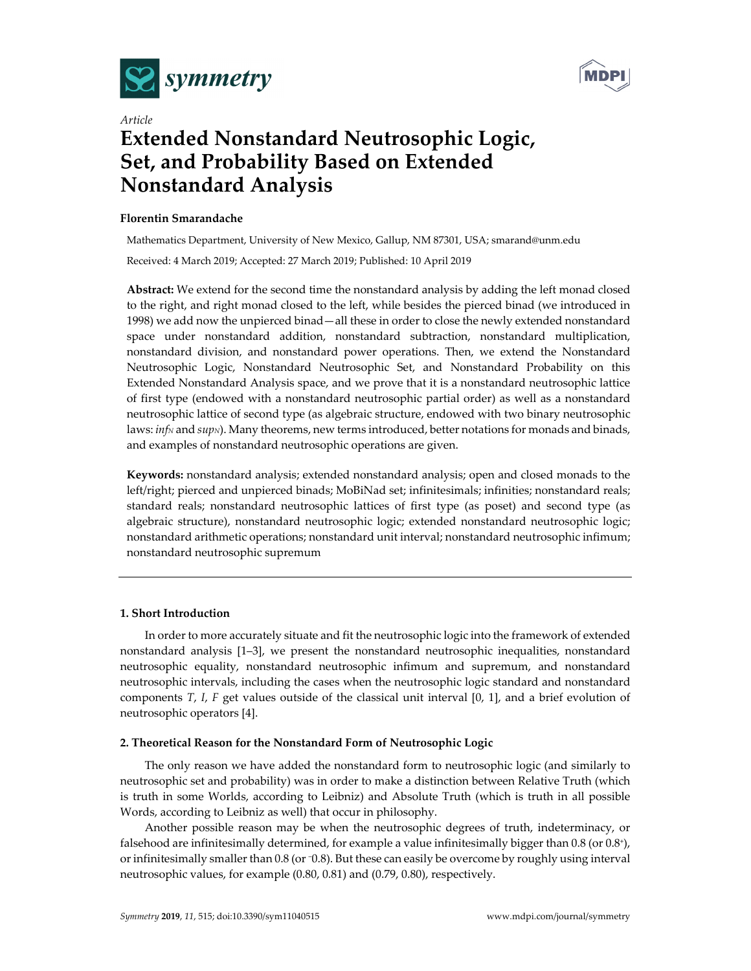



# *Article* **Extended Nonstandard Neutrosophic Logic, Set, and Probability Based on Extended Nonstandard Analysis**

# **Florentin Smarandache**

Mathematics Department, University of New Mexico, Gallup, NM 87301, USA; smarand@unm.edu Received: 4 March 2019; Accepted: 27 March 2019; Published: 10 April 2019

**Abstract:** We extend for the second time the nonstandard analysis by adding the left monad closed to the right, and right monad closed to the left, while besides the pierced binad (we introduced in 1998) we add now the unpierced binad—all these in order to close the newly extended nonstandard space under nonstandard addition, nonstandard subtraction, nonstandard multiplication, nonstandard division, and nonstandard power operations. Then, we extend the Nonstandard Neutrosophic Logic, Nonstandard Neutrosophic Set, and Nonstandard Probability on this Extended Nonstandard Analysis space, and we prove that it is a nonstandard neutrosophic lattice of first type (endowed with a nonstandard neutrosophic partial order) as well as a nonstandard neutrosophic lattice of second type (as algebraic structure, endowed with two binary neutrosophic laws: *inf<sub>N</sub>* and *sup<sub>N</sub>*). Many theorems, new terms introduced, better notations for monads and binads, and examples of nonstandard neutrosophic operations are given.

**Keywords:** nonstandard analysis; extended nonstandard analysis; open and closed monads to the left/right; pierced and unpierced binads; MoBiNad set; infinitesimals; infinities; nonstandard reals; standard reals; nonstandard neutrosophic lattices of first type (as poset) and second type (as algebraic structure), nonstandard neutrosophic logic; extended nonstandard neutrosophic logic; nonstandard arithmetic operations; nonstandard unit interval; nonstandard neutrosophic infimum; nonstandard neutrosophic supremum

# **1. Short Introduction**

In order to more accurately situate and fit the neutrosophic logic into the framework of extended nonstandard analysis [1–3], we present the nonstandard neutrosophic inequalities, nonstandard neutrosophic equality, nonstandard neutrosophic infimum and supremum, and nonstandard neutrosophic intervals, including the cases when the neutrosophic logic standard and nonstandard components *T*, *I*, *F* get values outside of the classical unit interval [0, 1], and a brief evolution of neutrosophic operators [4].

# **2. Theoretical Reason for the Nonstandard Form of Neutrosophic Logic**

The only reason we have added the nonstandard form to neutrosophic logic (and similarly to neutrosophic set and probability) was in order to make a distinction between Relative Truth (which is truth in some Worlds, according to Leibniz) and Absolute Truth (which is truth in all possible Words, according to Leibniz as well) that occur in philosophy.

Another possible reason may be when the neutrosophic degrees of truth, indeterminacy, or falsehood are infinitesimally determined, for example a value infinitesimally bigger than 0.8 (or 0.8+), or infinitesimally smaller than 0.8 (or −0.8). But these can easily be overcome by roughly using interval neutrosophic values, for example (0.80, 0.81) and (0.79, 0.80), respectively.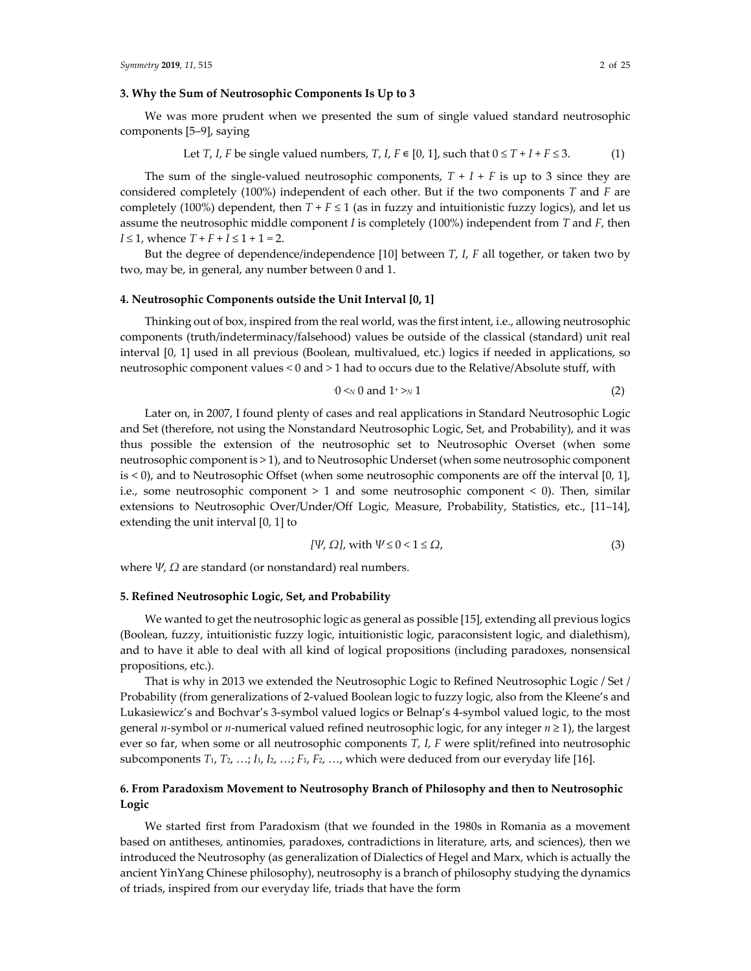## **3. Why the Sum of Neutrosophic Components Is Up to 3**

We was more prudent when we presented the sum of single valued standard neutrosophic components [5–9], saying

Let *T*, *I*, *F* be single valued numbers, *T*, *I*, 
$$
F \in [0, 1]
$$
, such that  $0 \le T + I + F \le 3$ . (1)

The sum of the single-valued neutrosophic components,  $T + I + F$  is up to 3 since they are considered completely (100%) independent of each other. But if the two components *T* and *F* are completely (100%) dependent, then  $T + F \le 1$  (as in fuzzy and intuitionistic fuzzy logics), and let us assume the neutrosophic middle component *I* is completely (100%) independent from *T* and *F*, then *I* ≤ 1, whence  $T + F + I ≤ 1 + 1 = 2$ .

But the degree of dependence/independence [10] between *T*, *I*, *F* all together, or taken two by two, may be, in general, any number between 0 and 1.

#### **4. Neutrosophic Components outside the Unit Interval [0, 1]**

Thinking out of box, inspired from the real world, was the first intent, i.e., allowing neutrosophic components (truth/indeterminacy/falsehood) values be outside of the classical (standard) unit real interval [0, 1] used in all previous (Boolean, multivalued, etc.) logics if needed in applications, so neutrosophic component values *<* 0 and *>* 1 had to occurs due to the Relative/Absolute stuff, with

*‐*

$$
0 \leq N 0 \text{ and } 1^+ > N 1 \tag{2}
$$

Later on, in 2007, I found plenty of cases and real applications in Standard Neutrosophic Logic and Set (therefore, not using the Nonstandard Neutrosophic Logic, Set, and Probability), and it was thus possible the extension of the neutrosophic set to Neutrosophic Overset (when some neutrosophic component is > 1), and to Neutrosophic Underset (when some neutrosophic component is < 0), and to Neutrosophic Offset (when some neutrosophic components are off the interval [0, 1], i.e., some neutrosophic component > 1 and some neutrosophic component < 0). Then, similar extensions to Neutrosophic Over/Under/Off Logic, Measure, Probability, Statistics, etc., [11–14], extending the unit interval [0, 1] to

$$
[\Psi, \Omega], \text{ with } \Psi \le 0 < 1 \le \Omega,\tag{3}
$$

where *Ψ*, *Ω* are standard (or nonstandard) real numbers.

#### **5. Refined Neutrosophic Logic, Set, and Probability**

We wanted to get the neutrosophic logic as general as possible [15], extending all previous logics (Boolean, fuzzy, intuitionistic fuzzy logic, intuitionistic logic, paraconsistent logic, and dialethism), and to have it able to deal with all kind of logical propositions (including paradoxes, nonsensical propositions, etc.).

That is why in 2013 we extended the Neutrosophic Logic to Refined Neutrosophic Logic / Set / Probability (from generalizations of 2‐valued Boolean logic to fuzzy logic, also from the Kleene's and Lukasiewicz's and Bochvar's 3‐symbol valued logics or Belnap's 4‐symbol valued logic, to the most general *n‐*symbol or *n‐*numerical valued refined neutrosophic logic, for any integer *n* ≥ 1), the largest ever so far, when some or all neutrosophic components *T*, *I*, *F* were split/refined into neutrosophic subcomponents  $T_1$ ,  $T_2$ , ...;  $I_1$ ,  $I_2$ , ...;  $F_1$ ,  $F_2$ , ..., which were deduced from our everyday life [16].

# **6. From Paradoxism Movement to Neutrosophy Branch of Philosophy and then to Neutrosophic Logic**

We started first from Paradoxism (that we founded in the 1980s in Romania as a movement based on antitheses, antinomies, paradoxes, contradictions in literature, arts, and sciences), then we introduced the Neutrosophy (as generalization of Dialectics of Hegel and Marx, which is actually the ancient YinYang Chinese philosophy), neutrosophy is a branch of philosophy studying the dynamics of triads, inspired from our everyday life, triads that have the form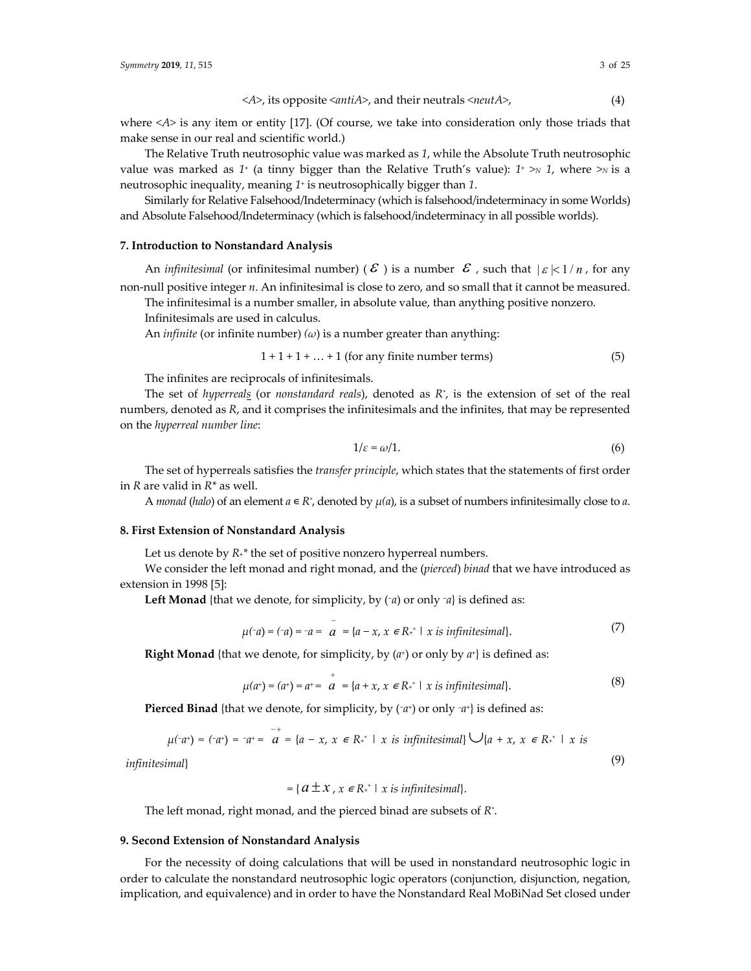where <*A*> is any item or entity [17]. (Of course, we take into consideration only those triads that make sense in our real and scientific world.)

The Relative Truth neutrosophic value was marked as *1*, while the Absolute Truth neutrosophic value was marked as 1<sup>+</sup> (a tinny bigger than the Relative Truth's value):  $1^+ \gg 1$ , where  $\gg$  is a neutrosophic inequality, meaning *1*<sup>+</sup> is neutrosophically bigger than *1*.

Similarly for Relative Falsehood/Indeterminacy (which is falsehood/indeterminacy in some Worlds) and Absolute Falsehood/Indeterminacy (which is falsehood/indeterminacy in all possible worlds).

## **7. Introduction to Nonstandard Analysis**

An *infinitesimal* (or infinitesimal number) ( $\mathcal E$  ) is a number  $\mathcal E$  , such that  $|\varepsilon|<1/n$ , for any non‐null positive integer *n*. An infinitesimal is close to zero, and so small that it cannot be measured.

The infinitesimal is a number smaller, in absolute value, than anything positive nonzero.

Infinitesimals are used in calculus.

An *infinite* (or infinite number) *(ω*) is a number greater than anything:

$$
1 + 1 + 1 + \dots + 1
$$
 (for any finite number terms) (5)

The infinites are reciprocals of infinitesimals.

The set of *hyperreals* (or *nonstandard reals*), denoted as *R\** , is the extension of set of the real numbers, denoted as *R*, and it comprises the infinitesimals and the infinites, that may be represented on the *hyperreal number line*:

$$
1/\varepsilon = \omega/1. \tag{6}
$$

The set of hyperreals satisfies the *transfer principle*, which states that the statements of first order in *R* are valid in *R\** as well.

A *monad* (*halo*) of an element  $a \in \mathbb{R}^*$ , denoted by  $\mu(a)$ , is a subset of numbers infinitesimally close to a.

#### **8. First Extension of Nonstandard Analysis**

Let us denote by  $R_{+}^{*}$  the set of positive nonzero hyperreal numbers.

We consider the left monad and right monad, and the (*pierced*) *binad* that we have introduced as extension in 1998 [5]:

**Left Monad** {that we denote, for simplicity, by (−*a*) or only <sup>−</sup>*a*} is defined as:

$$
\mu(\neg a) = (\neg a) = \neg a = \overline{a} = \{a - x, x \in \mathbb{R}^+ \mid x \text{ is infinitesimal}\}. \tag{7}
$$

**Right Monad** {that we denote, for simplicity, by  $(a<sup>+</sup>)$  or only by  $a<sup>+</sup>$ } is defined as:

$$
\mu(a^+) = (a^+) = a^+ = a^* = \{a + x, x \in \mathbb{R}^* \mid x \text{ is infinitesimal}\}.
$$
 (8)

**Pierced Binad** {that we denote, for simplicity, by (−*a*+) or only *–a*+} is defined as:

$$
\mu(\neg a^+) = (\neg a^+) = \neg a^+ = \overline{a} = \{a - x, x \in \mathbb{R}^+ \mid x \text{ is infinitesimal}\} \cup \{a + x, x \in \mathbb{R}^+ \mid x \text{ is } \}
$$
\n(9)

*infinitesimal*}

$$
= \{ a \pm x , x \in R^* \mid x \text{ is infinitesimal} \}.
$$

The left monad, right monad, and the pierced binad are subsets of *R\** .

#### **9. Second Extension of Nonstandard Analysis**

For the necessity of doing calculations that will be used in nonstandard neutrosophic logic in order to calculate the nonstandard neutrosophic logic operators (conjunction, disjunction, negation, implication, and equivalence) and in order to have the Nonstandard Real MoBiNad Set closed under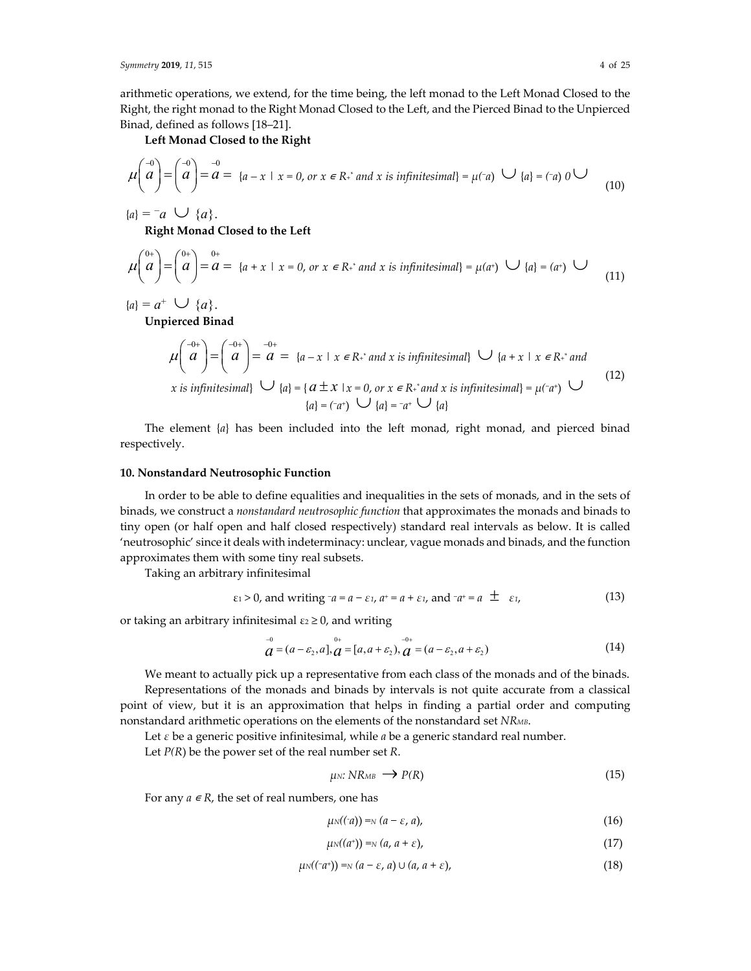arithmetic operations, we extend, for the time being, the left monad to the Left Monad Closed to the Right, the right monad to the Right Monad Closed to the Left, and the Pierced Binad to the Unpierced Binad, defined as follows [18–21].

**Left Monad Closed to the Right**

$$
\mu\left(\begin{matrix} -0\\ a \end{matrix}\right) = \left(\begin{matrix} -0\\ a \end{matrix}\right) = \frac{-0}{a} = \{a - x \mid x = 0, \text{ or } x \in \mathbb{R}^+ \text{ and } x \text{ is infinitesimal}\} = \mu(-a) \quad \bigcup \{a\} = (-a) \quad 0 \quad \bigcup \tag{10}
$$

 ${a} = -a \cup {a}.$ 

**Right Monad Closed to the Left**

$$
\mu\left(\begin{array}{c} 0^+ \\ a \end{array}\right) = \left(\begin{array}{c} 0^+ \\ a \end{array}\right) = \begin{array}{c} 0^+ \\ a = \{a + x \mid x = 0, \text{ or } x \in \mathbb{R}^+ \text{ and } x \text{ is infinitesimal}\} = \mu(a^+) \cup \{a\} = (a^+) \cup \tag{11}
$$

 ${a}$  =  ${a}^+$   $\cup$   ${a}$ .

**Unpierced Binad**

$$
\mu\begin{pmatrix} -0+ \\ a \end{pmatrix} = \begin{pmatrix} -0+ \\ a \end{pmatrix} = \begin{pmatrix} -0+ \\ a \end{pmatrix} = \begin{cases} a = \{a-x \mid x \in \mathbb{R}^+ \text{ and } x \text{ is infinitesimal}\} & \bigcup \{a+x \mid x \in \mathbb{R}^+ \text{ and } x \text{ is infinitesimal}\} \\ \text{and} & \bigcup \{a\} = \{a \pm x \mid x = 0, \text{ or } x \in \mathbb{R}^+ \text{ and } x \text{ is infinitesimal}\} = \mu(-a^+) & \bigcup \{a\} = (-a^+) & \bigcup \{a\} = -a^+ & \bigcup \{a\} \end{cases} \tag{12}
$$

The element {*a*} has been included into the left monad, right monad, and pierced binad respectively.

## **10. Nonstandard Neutrosophic Function**

In order to be able to define equalities and inequalities in the sets of monads, and in the sets of binads, we construct a *nonstandard neutrosophic function* that approximates the monads and binads to tiny open (or half open and half closed respectively) standard real intervals as below. It is called 'neutrosophic' since it deals with indeterminacy: unclear, vague monads and binads, and the function approximates them with some tiny real subsets.

Taking an arbitrary infinitesimal

$$
\varepsilon_1 > 0
$$
, and writing  $\tau a = a - \varepsilon_1$ ,  $a^+ = a + \varepsilon_1$ , and  $\tau a^+ = a \pm \varepsilon_1$ , (13)

or taking an arbitrary infinitesimal  $\varepsilon_2 \geq 0$ , and writing

$$
\stackrel{-0}{a} = (a - \varepsilon_2, a], \stackrel{0+}{a} = [a, a + \varepsilon_2), \stackrel{-0+}{a} = (a - \varepsilon_2, a + \varepsilon_2)
$$
\n(14)

We meant to actually pick up a representative from each class of the monads and of the binads. Representations of the monads and binads by intervals is not quite accurate from a classical point of view, but it is an approximation that helps in finding a partial order and computing nonstandard arithmetic operations on the elements of the nonstandard set *NRMB*.

Let *ε* be a generic positive infinitesimal, while *a* be a generic standard real number.

Let *P(R*) be the power set of the real number set *R*.

$$
\mu_N: NR_{MB} \longrightarrow P(R) \tag{15}
$$

For any  $a \in R$ , the set of real numbers, one has

$$
\mu_N((a)) = N(a - \varepsilon, a), \tag{16}
$$

$$
\mu_N((a^*)) = N(a, a + \varepsilon), \tag{17}
$$

$$
\mu_N((\neg a^*)) =_N (a - \varepsilon, a) \cup (a, a + \varepsilon), \tag{18}
$$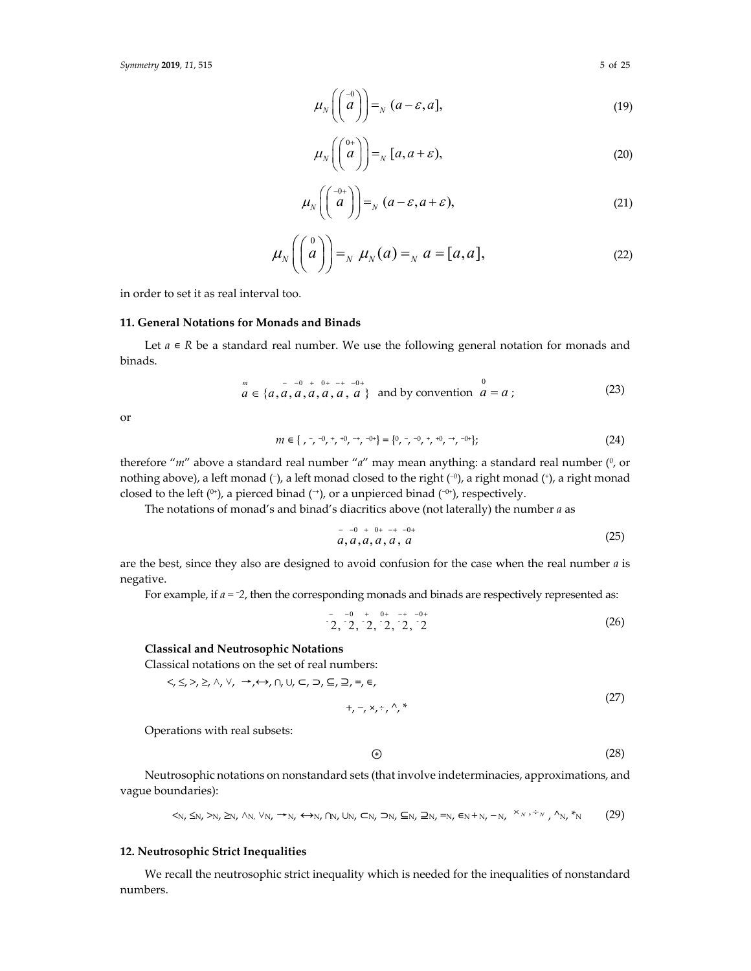*Symmetry* **2019**, 11, 515

$$
\mu_N\left(\begin{pmatrix} -0\\a \end{pmatrix}\right) =_N (a-\varepsilon, a],\tag{19}
$$

$$
\mu_N\left(\begin{pmatrix} 0+\\a \end{pmatrix}\right) =_N [a, a+\varepsilon), \tag{20}
$$

$$
\mu_N\left(\begin{pmatrix} -0+ \\ a \end{pmatrix}\right) =_N (a-\varepsilon, a+\varepsilon),\tag{21}
$$

$$
\mu_N\left(\begin{pmatrix} 0\\a\\ \end{pmatrix}\right) =_N \mu_N(a) =_N a = [a,a],
$$
\n(22)

in order to set it as real interval too.

# **11. General Notations for Monads and Binads**

Let  $a \in R$  be a standard real number. We use the following general notation for monads and binads.

$$
a = \{a, a, a, a, a, a, a, a\} \text{ and by convention } a = a \tag{23}
$$

or

$$
m \in \{ , -1, -1, +1, -1, -0+\} = \{0, -1, 0, +1, 0, -1, -0+\};\tag{24}
$$

therefore "*m*" above a standard real number "*a*" may mean anything: a standard real number (<sup>0</sup>, or nothing above), a left monad (*−*), a left monad closed to the right (−0), a right monad (+), a right monad closed to the left (0+), a pierced binad (*−*+), or a unpierced binad (−0+), respectively.

The notations of monad's and binad's diacritics above (not laterally) the number *a* as

$$
a, a, a, a, a, a
$$
 (25)

are the best, since they also are designed to avoid confusion for the case when the real number *a* is negative.

For example, if *a =* <sup>−</sup>*2*, then the corresponding monads and binads are respectively represented as:

$$
-2, \, 2, \, 2, \, 2, \, 2, \, 2, \, 2
$$
\n
$$
(26)
$$

# **Classical and Neutrosophic Notations**

Classical notations on the set of real numbers: <, ≤, >, ≥, ˄, ˅, →,↔, ∩, ∪, ⊂, ⊃, ⊆, ⊇, =, ∊,

$$
+,-,\times,\div,\wedge,\ast
$$
 (27)

Operations with real subsets:

$$
\circled{\scriptstyle\ast}%
$$
 (28)

Neutrosophic notations on nonstandard sets (that involve indeterminacies, approximations, and vague boundaries):

$$
\langle N, \leq N, \geq N, \geq N, \land N, \lor N, \rightarrow N, \leftrightarrow N, \land N, \cup N, \subset N, \supset N, \subseteq N, \supseteq N, \Rightarrow N, \in N + N, \neg N, \xrightarrow{\times_N, \div_N} \wedge N, \ast_N \tag{29}
$$

## **12. Neutrosophic Strict Inequalities**

We recall the neutrosophic strict inequality which is needed for the inequalities of nonstandard numbers.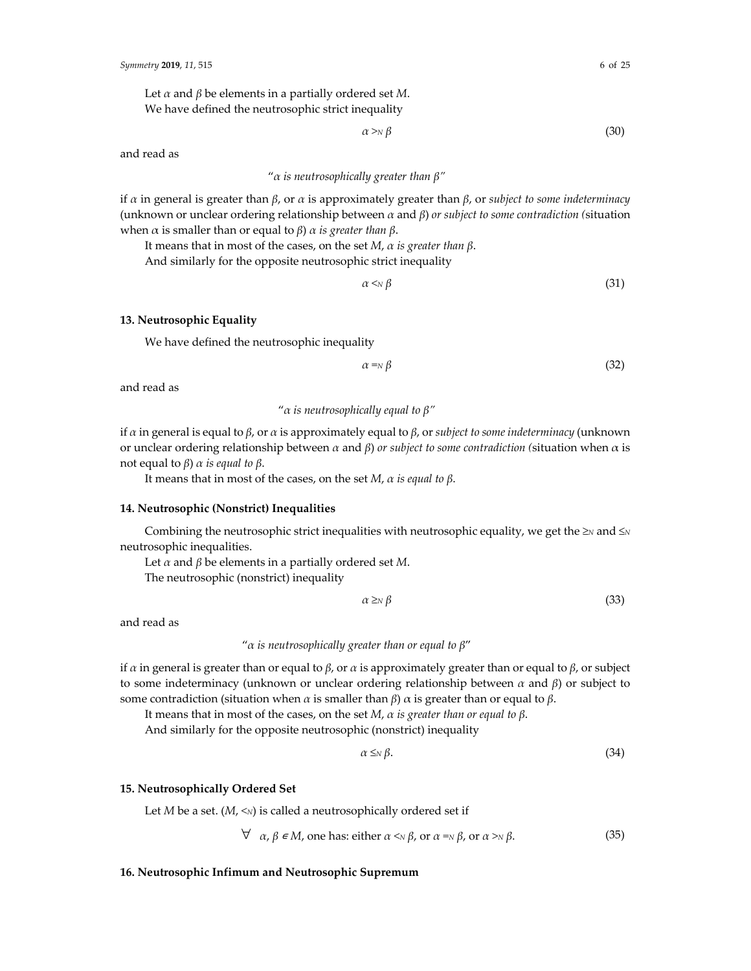Let *α* and *β* be elements in a partially ordered set *M*. We have defined the neutrosophic strict inequality

$$
\alpha \gg_{\mathbb{N}} \beta \tag{30}
$$

and read as

# "*α is neutrosophically greater than β"*

if *α* in general is greater than *β*, or *α* is approximately greater than *β*, or *subject to some indeterminacy* (unknown or unclear ordering relationship between *α* and *β*) *or subject to some contradiction (*situation when α is smaller than or equal to *β*) *α is greater than β*.

It means that in most of the cases, on the set *M*, *α is greater than β*.

And similarly for the opposite neutrosophic strict inequality

 $\alpha \leq N \beta$  (31)

## **13. Neutrosophic Equality**

We have defined the neutrosophic inequality

 $\alpha = N \beta$  (32)

and read as

"*α is neutrosophically equal to β"* 

if *α* in general is equal to *β*, or *α* is approximately equal to *β*, or *subject to some indeterminacy* (unknown or unclear ordering relationship between *α* and *β*) *or subject to some contradiction (*situation when α is not equal to  $β$ )  $α$  *is equal to*  $β$ .

It means that in most of the cases, on the set *M*, *α is equal to β*.

## **14. Neutrosophic (Nonstrict) Inequalities**

Combining the neutrosophic strict inequalities with neutrosophic equality, we get the *≥<sup>N</sup>* and *≤<sup>N</sup>* neutrosophic inequalities.

Let *α* and *β* be elements in a partially ordered set *M*.

The neutrosophic (nonstrict) inequality

$$
\alpha \geq_N \beta \tag{33}
$$

and read as

```
"α is neutrosophically greater than or equal to β"
```
if *α* in general is greater than or equal to *β*, or *α* is approximately greater than or equal to *β*, or subject to some indeterminacy (unknown or unclear ordering relationship between *α* and *β*) or subject to some contradiction (situation when *α* is smaller than *β*) *α* is greater than or equal to *β*.

It means that in most of the cases, on the set *M*, *α is greater than or equal to β*.

And similarly for the opposite neutrosophic (nonstrict) inequality

$$
\alpha \leq_N \beta. \tag{34}
$$

# **15. Neutrosophically Ordered Set**

Let *M* be a set.  $(M, \leq N)$  is called a neutrosophically ordered set if

$$
\forall \alpha, \beta \in M, \text{ one has: either } \alpha \leq N \beta, \text{ or } \alpha = N \beta, \text{ or } \alpha > N \beta. \tag{35}
$$

#### **16. Neutrosophic Infimum and Neutrosophic Supremum**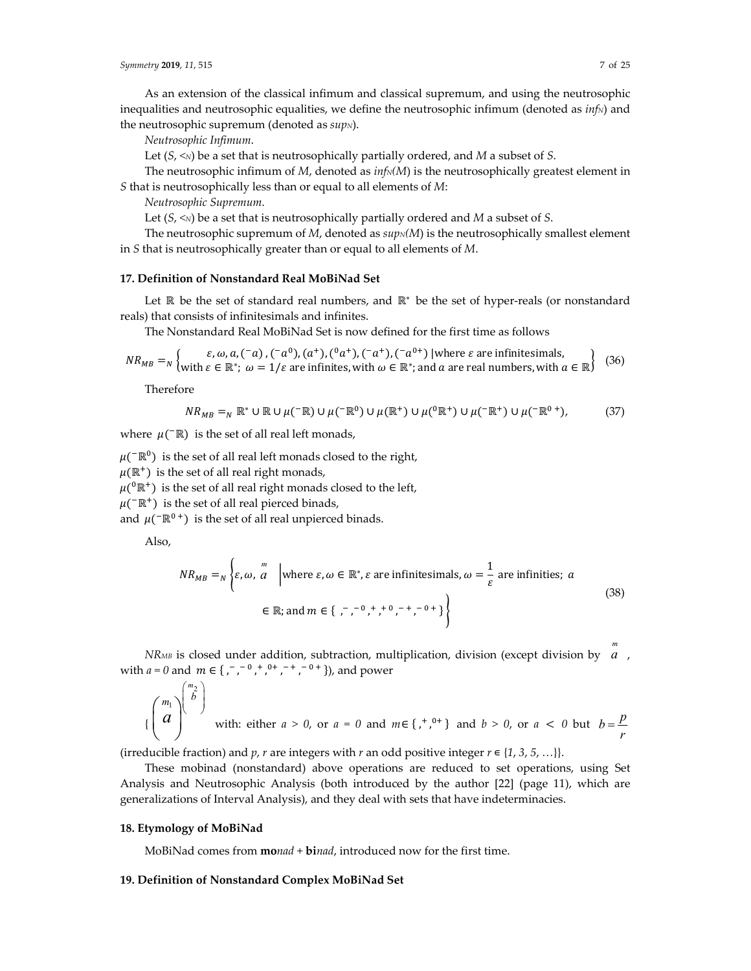As an extension of the classical infimum and classical supremum, and using the neutrosophic inequalities and neutrosophic equalities, we define the neutrosophic infimum (denoted as *infN*) and the neutrosophic supremum (denoted as *sup*<sub>N</sub>).

*Neutrosophic Infimum*.

Let  $(S, \leq N)$  be a set that is neutrosophically partially ordered, and *M* a subset of *S*.

The neutrosophic infimum of  $M$ , denoted as  $inf_N(M)$  is the neutrosophically greatest element in *S* that is neutrosophically less than or equal to all elements of *M*:

*Neutrosophic Supremum*.

Let  $(S, \leq N)$  be a set that is neutrosophically partially ordered and *M* a subset of *S*.

The neutrosophic supremum of *M*, denoted as  $\text{supN}(M)$  is the neutrosophically smallest element in *S* that is neutrosophically greater than or equal to all elements of *M*.

## **17. Definition of Nonstandard Real MoBiNad Set**

Let ℝ be the set of standard real numbers, and ℝ<sup>∗</sup> be the set of hyper-reals (or nonstandard reals) that consists of infinitesimals and infinites.

The Nonstandard Real MoBiNad Set is now defined for the first time as follows

$$
NR_{MB} =_N \left\{ \begin{matrix} \varepsilon, \omega, a, (-a), (-a^0), (a^+), (a^a), (-a^+), (-a^{0+}) \text{ | where } \varepsilon \text{ are infinitesimals,} \\ \text{with } \varepsilon \in \mathbb{R}^*; \ \omega = 1/\varepsilon \text{ are infinites, with } \omega \in \mathbb{R}^*; \text{ and } a \text{ are real numbers, with } a \in \mathbb{R} \end{matrix} \right\}
$$
 (36)

Therefore

$$
NR_{MB} =_N \mathbb{R}^* \cup \mathbb{R} \cup \mu(\mathbb{R}) \cup \mu(\mathbb{R}^0) \cup \mu(\mathbb{R}^+) \cup \mu(\mathbb{R}^+) \cup \mu(\mathbb{R}^+) \cup \mu(\mathbb{R}^0), \tag{37}
$$

where  $\mu$ ( $\bar{R}$ ) is the set of all real left monads,

 $\mu$ ( $\bar{R}$ <sup>0</sup>) is the set of all real left monads closed to the right,

 $\mu(\mathbb{R}^+)$  is the set of all real right monads,

 $\mu(^{0} \mathbb{R}^{+})$  is the set of all real right monads closed to the left,

 $\mu$ ( $\bar{R}$ ) is the set of all real pierced binads,

and  $\mu$ ( $\lceil \mathbb{R}^{0+} \rceil$ ) is the set of all real unpierced binads.

Also,

$$
NR_{MB} =_{N} \left\{ \varepsilon, \omega, \overline{a} \mid \text{where } \varepsilon, \omega \in \mathbb{R}^*, \varepsilon \text{ are infinitesimals, } \omega = \frac{1}{\varepsilon} \text{ are infinites; } a \in \mathbb{R}; \text{ and } m \in \{ , -, -, +, +, -, +, -\} \right\}
$$
(38)

*NRMB* is closed under addition, subtraction, multiplication, division (except division by *a* , with  $a = 0$  and  $m \in \{ , -1, 0, 0, 0, 0, \ldots \}$ ,  $a = 0$ , and power

$$
\left\{\begin{pmatrix}m_1\\a\\c\end{pmatrix}^{m_2}\right\} \text{ with: either } a > 0 \text{, or } a = 0 \text{ and } m \in \{1, 0, 0\} \text{ and } b > 0 \text{, or } a < 0 \text{ but } b = \frac{p}{r}
$$

(irreducible fraction) and *p*, *r* are integers with *r* an odd positive integer  $r \in \{1, 3, 5, ...\}$ .

These mobinad (nonstandard) above operations are reduced to set operations, using Set Analysis and Neutrosophic Analysis (both introduced by the author [22] (page 11), which are generalizations of Interval Analysis), and they deal with sets that have indeterminacies.

## **18. Etymology of MoBiNad**

MoBiNad comes from **mo***nad* + **bi***nad*, introduced now for the first time.

#### **19. Definition of Nonstandard Complex MoBiNad Set**

*m*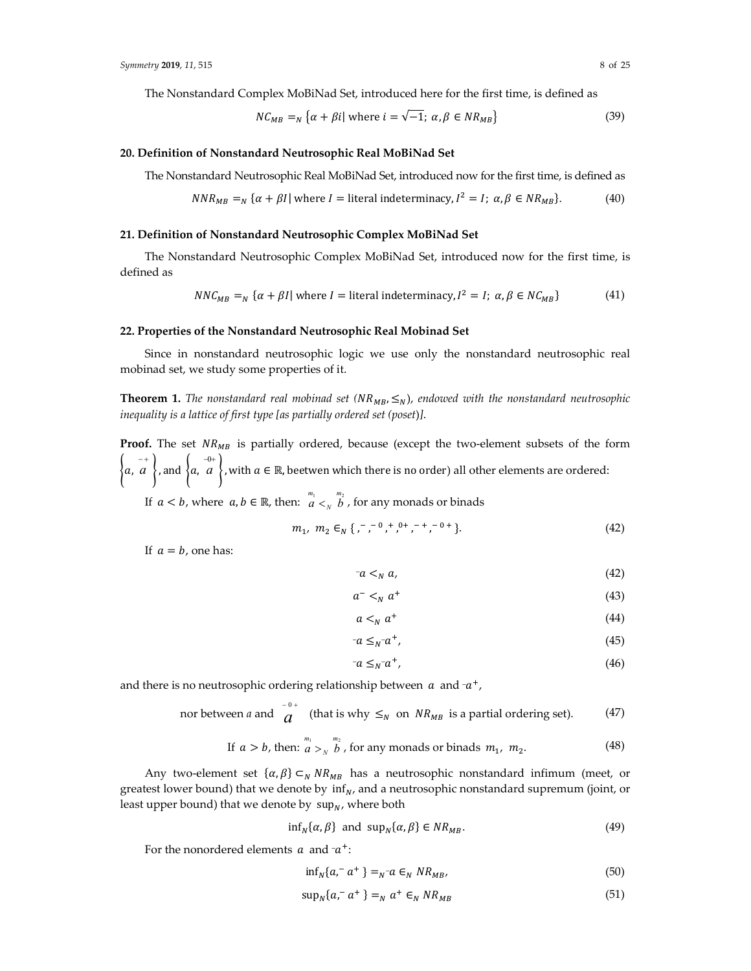The Nonstandard Complex MoBiNad Set, introduced here for the first time, is defined as

$$
NC_{MB} =_{N} \{ \alpha + \beta i | \text{ where } i = \sqrt{-1}; \ \alpha, \beta \in NR_{MB} \}
$$
 (39)

#### **20. Definition of Nonstandard Neutrosophic Real MoBiNad Set**

The Nonstandard Neutrosophic Real MoBiNad Set, introduced now for the first time, is defined as

$$
NNR_{MB} =_N \{ \alpha + \beta I | \text{ where } I = \text{literal indeterminacy}, I^2 = I; \alpha, \beta \in NR_{MB} \}. \tag{40}
$$

#### **21. Definition of Nonstandard Neutrosophic Complex MoBiNad Set**

The Nonstandard Neutrosophic Complex MoBiNad Set, introduced now for the first time, is defined as

$$
NNC_{MB} =_N {\alpha + \beta I} \text{ where } I = \text{literal indeterminacy}, I^2 = I; \alpha, \beta \in NC_{MB}
$$
 (41)

## **22. Properties of the Nonstandard Neutrosophic Real Mobinad Set**

Since in nonstandard neutrosophic logic we use only the nonstandard neutrosophic real mobinad set, we study some properties of it.

**Theorem 1.** The nonstandard real mobinad set  $(NR_{MB}, \leq_N)$ , endowed with the nonstandard neutrosophic *inequality is a lattice of first type [as partially ordered set (poset*)*]*.

**Proof.** The set  $NR_{MB}$  is partially ordered, because (except the two-element subsets of the form  $\left\{\begin{array}{c} -+\\ a,\ a\end{array}\right\}$  and  $\left\{\begin{array}{c} -0+\\ a,\ a'\end{array}\right\}$  , with  $a\in\mathbb{R}$ , beetwen which there is no order) all other elements are ordered:

If  $a < b$ , where  $a, b \in \mathbb{R}$ , then:  $\frac{m_1}{a} <sub>N</sub>$   $\frac{m_2}{b}$ , for any monads or binads

$$
m_1, m_2 \in_N \{ , -0, +0+ - + -0+ \}.
$$
 (42)

If  $a = b$ , one has:

$$
-a <_{N} a,
$$
\n<sup>(42)</sup>

$$
a^- <_N a^+ \tag{43}
$$

$$
a <_N a^+
$$
 (44)

$$
-a \leq_N - a^+, \tag{45}
$$

$$
-a \leq_N a^+, \tag{46}
$$

and there is no neutrosophic ordering relationship between  $a$  and  $-a^+$ ,

nor between *a* and 
$$
\frac{1}{a}
$$
 (that is why  $\leq_N$  on  $NR_{MB}$  is a partial ordering set). (47)

If 
$$
a > b
$$
, then:  $\frac{m_1}{a} >_N \frac{m_2}{b}$ , for any monads or binads  $m_1$ ,  $m_2$ . (48)

Any two-element set  $\{\alpha, \beta\} \subset_N NR_{MB}$  has a neutrosophic nonstandard infimum (meet, or greatest lower bound) that we denote by  $\inf_{N}$ , and a neutrosophic nonstandard supremum (joint, or least upper bound) that we denote by  $\sup_N$ , where both

$$
\inf_{N} \{ \alpha, \beta \} \text{ and } \sup_{N} \{ \alpha, \beta \} \in NR_{MB}. \tag{49}
$$

For the nonordered elements  $a$  and  $-a^+$ :

$$
\inf_{N} \{a, a^+ \} =_{N^-} a \in_N N R_{MB}, \tag{50}
$$

$$
\sup_{N} \{a, a^+ \} =_N a^+ \in_N NR_{MB}
$$
\n
$$
(51)
$$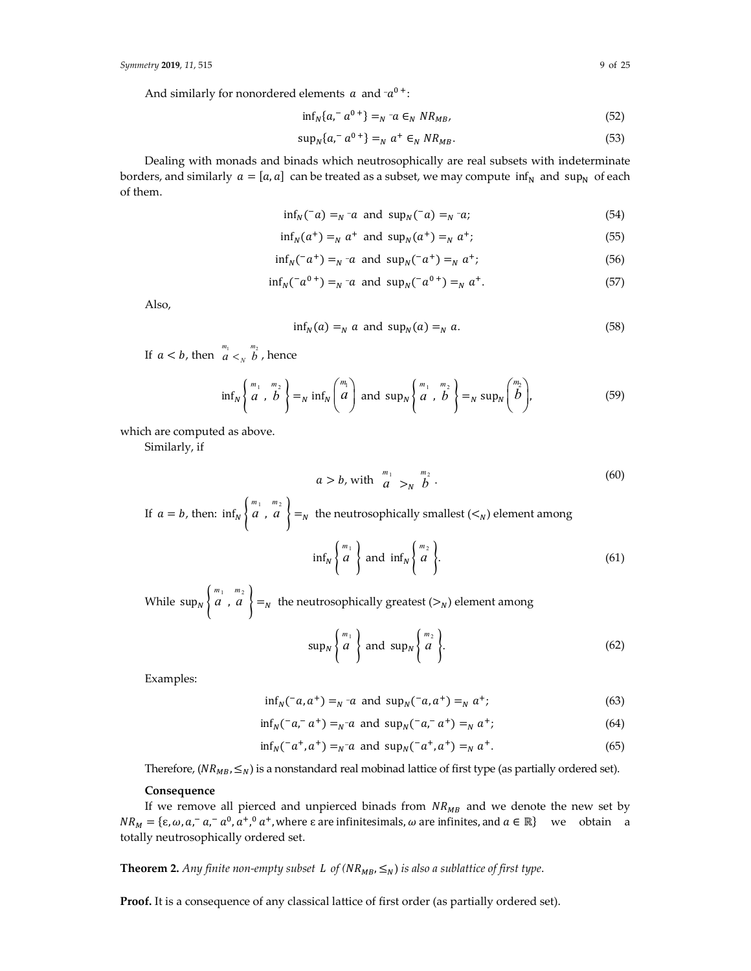And similarly for nonordered elements  $a$  and  $-a^{0+}$ :

$$
\inf_{N} \{a,^{-} a^{0+}\} =_{N}^{-} a \in_{N} N R_{MB}, \tag{52}
$$

$$
\sup_{N} \{a,^{-} a^{0+}\} =_{N} a^{+} \in_{N} NR_{MB}.
$$
\n(53)

Dealing with monads and binads which neutrosophically are real subsets with indeterminate borders, and similarly  $a = [a, a]$  can be treated as a subset, we may compute inf<sub>N</sub> and sup<sub>N</sub> of each of them.

$$
\inf_{N}(\bar{a}) =_{N} \bar{a} \text{ and } \sup_{N}(\bar{a}) =_{N} \bar{a}; \tag{54}
$$

$$
\inf_N(a^+) =_N a^+
$$
 and  $\sup_N(a^+) =_N a^+$ ; (55)

$$
\inf_{N}(\bar{a}^{+}) =_{N} \bar{a} \text{ and } \sup_{N}(\bar{a}^{+}) =_{N} a^{+};
$$
\n(56)

$$
\inf_{N} (^{-}a^{0+}) =_{N}^{-}a \text{ and } \sup_{N} (^{-}a^{0+}) =_{N} a^{+}.
$$
 (57)

Also,

$$
\inf_{N}(a) =_{N} a \text{ and } \sup_{N}(a) =_{N} a. \tag{58}
$$

If  $a < b$ , then  $\left(\begin{array}{cc} m_1 & m_2 \\ a & <_N \end{array}\right)$ , hence

$$
\inf_{N} \left\{ \begin{array}{c} m_1 & m_2 \\ a & b \end{array} \right\} =_N \inf_{N} \left\{ \begin{array}{c} m_1 \\ a \end{array} \right\} \text{ and } \sup_{N} \left\{ \begin{array}{c} m_1 & m_2 \\ a & b \end{array} \right\} =_N \sup_{N} \left\{ \begin{array}{c} m_2 \\ b \end{array} \right\},\tag{59}
$$

which are computed as above.

Similarly, if

$$
a > b, \text{ with } \begin{array}{c} m_1 \\ a \\ \end{array} >_N \begin{array}{c} m_2 \\ b \\ \end{array} . \tag{60}
$$

If 
$$
a = b
$$
, then:  $\inf_{N} \begin{Bmatrix} m_1 & m_2 \\ a & a \end{Bmatrix} =_N$  the neutrosophically smallest ( $\lt_N$ ) element among  

$$
\inf_{N} \begin{Bmatrix} m_1 \\ a \end{Bmatrix} \text{ and } \inf_{N} \begin{Bmatrix} m_2 \\ a \end{Bmatrix}.
$$
 (61)

While  $\sup_N$ }  $\left\{\begin{array}{c}m_1 & m_2 \ a & , a\end{array}\right\} =_N$  the neutrosophically greatest ( $>_N$ ) element among

$$
\sup_{N} \left\{ \begin{array}{c} m_1 \\ a \end{array} \right\} \text{ and } \sup_{N} \left\{ \begin{array}{c} m_2 \\ a \end{array} \right\}.
$$
 (62)

Examples:

$$
\inf_{N}(\bar{a}, a^+) =_{N} a
$$
 and  $\sup_{N}(\bar{a}, a^+) =_{N} a^+$ ; (63)

$$
\inf_{N}(\bar{a}, a^{+}) =_{N} a \text{ and } \sup_{N}(\bar{a}, a^{+}) =_{N} a^{+};
$$
\n(64)

$$
\inf_{N}(\bar{a}^+, a^+) =_{N} \bar{a} \text{ and } \sup_{N}(\bar{a}^+, a^+) =_{N} a^+.
$$
 (65)

Therefore,  $(NR_{MB}, \leq_N)$  is a nonstandard real mobinad lattice of first type (as partially ordered set).

# **Consequence**

If we remove all pierced and unpierced binads from  $NR_{MB}$  and we denote the new set by  $NR_M = \{\varepsilon, \omega, a, a^-, a^-, a^+, a^+, \text{where } \varepsilon \text{ are infinitesimals}, \omega \text{ are infinites, and } a \in \mathbb{R}\}\$ we obtain a totally neutrosophically ordered set.

**Theorem 2.** Any finite non-empty subset L of  $(NR_{MB}, \leq_N)$  is also a sublattice of first type.

**Proof.** It is a consequence of any classical lattice of first order (as partially ordered set).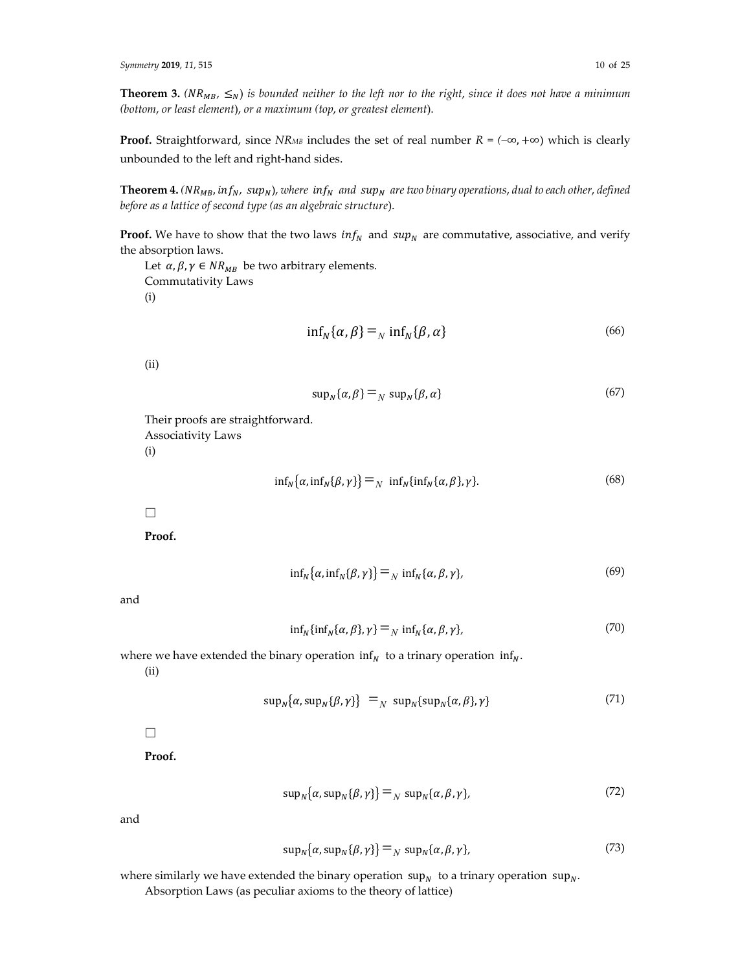**Theorem 3.** (NR<sub>MB</sub>,  $\leq_N$ ) is bounded neither to the left nor to the right, since it does not have a minimum *(bottom*, *or least element*), *or a maximum (top*, *or greatest element*).

**Proof.** Straightforward, since *NRMB* includes the set of real number  $R = (-\infty, +\infty)$  which is clearly unbounded to the left and right‐hand sides.

**Theorem 4.**  $(NR_{MB}, inf_N, sup_N)$ , where  $inf_N$  and  $sup_N$  are two binary operations, dual to each other, defined *before as a lattice of second type (as an algebraic structure*).

**Proof.** We have to show that the two laws  $inf_N$  and  $sup_N$  are commutative, associative, and verify the absorption laws.

Let  $\alpha$ ,  $\beta$ ,  $\gamma \in NR_{MB}$  be two arbitrary elements. Commutativity Laws (i)

$$
\inf_{N} \{ \alpha, \beta \} =_{N} \inf_{N} \{ \beta, \alpha \}
$$
\n(66)

(ii)

$$
sup_N\{\alpha,\beta\} =_N supp_N\{\beta,\alpha\}
$$
\n(67)

Their proofs are straightforward.

Associativity Laws

(i)

$$
\inf_{N} {\alpha, \inf_{N} {\beta, \gamma} } =_{N} \inf_{N} {\{ \inf_{N} {\{\alpha, \beta\}, \gamma \} } }.
$$
 (68)

**□**

**Proof.**

$$
\inf_{N} {\alpha, \inf_{N} {\beta, \gamma} } =_{N} \inf_{N} {\alpha, \beta, \gamma}, \qquad (69)
$$

and

$$
\inf_{N} \{ \inf_{N} \{ \alpha, \beta \}, \gamma \} =_{N} \inf_{N} \{ \alpha, \beta, \gamma \},\tag{70}
$$

where we have extended the binary operation inf<sub>N</sub> to a trinary operation inf<sub>N</sub>.

(ii)

$$
sup_{N}\{\alpha, sup_{N}\{\beta, \gamma\}\} =_{N} sup_{N}\{sup_{N}\{\alpha, \beta\}, \gamma\}
$$
\n(71)

**□**

**Proof.**

$$
sup_{N}\{\alpha, sup_{N}\{\beta, \gamma\}\} =_{N} sup_{N}\{\alpha, \beta, \gamma\},
$$
\n(72)

and

$$
\sup_{N} {\alpha, \sup_{N} {\beta, \gamma} } =_{N} \sup_{N} {\alpha, \beta, \gamma},
$$
 (73)

where similarly we have extended the binary operation sup<sub>N</sub> to a trinary operation sup<sub>N</sub>. Absorption Laws (as peculiar axioms to the theory of lattice)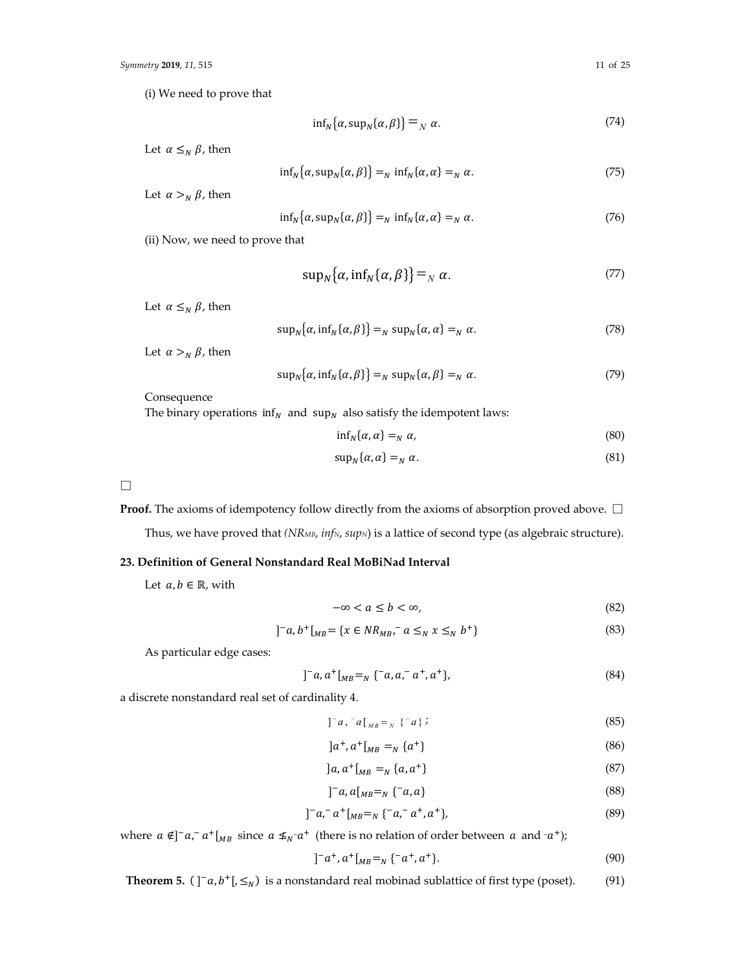(i) We need to prove that

$$
\inf_{N} \{ \alpha, \sup_{N} \{ \alpha, \beta \} \} =_{N} \alpha. \tag{74}
$$

Let  $\alpha \leq_N \beta$ , then

$$
\inf_{N} {\alpha, \sup_{N} {\alpha, \beta}} =_{N} \inf_{N} {\alpha, \alpha} =_{N} \alpha.
$$
 (75)

Let  $\alpha >_N \beta$ , then

$$
\inf_{N} \{ \alpha, \sup_{N} \{ \alpha, \beta \} \} =_{N} \inf_{N} \{ \alpha, \alpha \} =_{N} \alpha.
$$
 (76)

(ii) Now, we need to prove that

$$
sup_{N}\{\alpha, inf_{N}\{\alpha, \beta\}\} =_{N}\alpha.
$$
 (77)

Let  $\alpha \leq_N \beta$ , then

$$
\sup_{N} {\alpha, \inf_{N} {\alpha, \beta}} =_{N} \sup_{N} {\alpha, \alpha} =_{N} \alpha.
$$
 (78)

Let  $\alpha >_N \beta$ , then

$$
\sup_{N} {\alpha, \inf_{N} {\alpha, \beta}} =_{N} \sup_{N} {\alpha, \beta} =_{N} \alpha.
$$
 (79)

Consequence

The binary operations  $inf_N$  and sup<sub>N</sub> also satisfy the idempotent laws:

$$
\inf_{N} \{ \alpha, \alpha \} =_{N} \alpha, \tag{80}
$$

$$
sup_N\{\alpha,\alpha\} =_N \alpha. \tag{81}
$$

**□**

**Proof.** The axioms of idempotency follow directly from the axioms of absorption proved above. **□**

Thus, we have proved that *(NR<sub>MB</sub>*, *infN*, *supN*) is a lattice of second type (as algebraic structure).

## **23. Definition of General Nonstandard Real MoBiNad Interval**

Let  $a, b \in \mathbb{R}$ , with

$$
-\infty < a \le b < \infty,\tag{82}
$$

$$
]^{-}a, b^{+}[{}_{MB} = \{x \in NR_{MB}, ^{-}a \leq_{N} x \leq_{N} b^{+}\}\
$$
\n(83)

As particular edge cases:

$$
]^{-}a, a^{+}[{}_{MB} =_{N} \{^{-}a, a^{-}a^{+}, a^{+}\}, \tag{84}
$$

a discrete nonstandard real set of cardinality 4.

$$
]^{-}a, {}^{-}a[_{MB} = {_{N}} \{^{-}a\} ; \qquad (85)
$$

$$
]a^{+}, a^{+}[{}_{MB} =_{N} \{a^{+}\}\tag{86}
$$

$$
]a, a^+[MB =N {a, a^+}
$$
\n(87)

$$
]^{-}a, a[_{MB} =_N \{^{-}a, a\}
$$
\n(88)

$$
]^{-}a,^{-}a^{+}[_{MB} =_{N} \{-a,^{-}a^{+}, a^{+}\}, \tag{89}
$$

where  $a \notin ]^-a,^-a^+[_{MB}$  since  $a \notin _{N}^-a^+$  (there is no relation of order between  $a$  and  $-a^+$ );

$$
]^{-}a^{+},a^{+}[_{MB}=_{N}\{-a^{+},a^{+}\}.
$$
\n(90)

**Theorem 5.**  $(\int_a^b a, b^+|, \leq_N)$  is a nonstandard real mobinad sublattice of first type (poset). (91)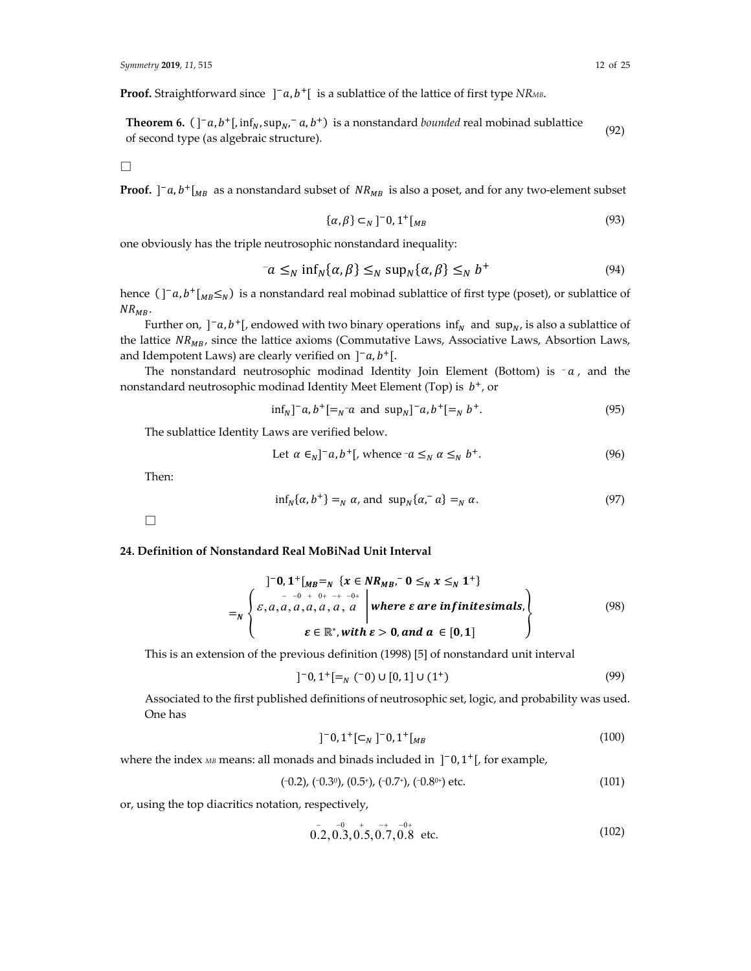**Proof.** Straightforward since  $]^{-}a$ ,  $b^{+}$  is a sublattice of the lattice of first type *NRMB*.

**Theorem 6.** ሺ ሿି, ାሾ, infே, supே, ି , ାሻ is a nonstandard *bounded* real mobinad sublattice of second type (as algebraic structure).<br>  $(92)$  of second type (as algebraic structure).

**□**

**Proof.**  $]$ <sup>-</sup> $a$ ,  $b$ <sup>+</sup> $[$ <sub>*MB*</sub> as a nonstandard subset of  $NR_{MB}$  is also a poset, and for any two-element subset

$$
\{\alpha,\beta\} \subset_N ]^{-0,1^+[_{MB}] \tag{93}
$$

one obviously has the triple neutrosophic nonstandard inequality:

$$
a \leq_N \inf_N \{\alpha, \beta\} \leq_N \sup_N \{\alpha, \beta\} \leq_N b^+ \tag{94}
$$

hence  $(\int_a^b a_b t_{M B} \leq N$  is a nonstandard real mobinad sublattice of first type (poset), or sublattice of  $NR_{MB}$ .

Further on,  $\int_a^b b^+$ , endowed with two binary operations  $\inf_N$  and  $\sup_N$ , is also a sublattice of the lattice  $NR_{MB}$ , since the lattice axioms (Commutative Laws, Associative Laws, Absortion Laws, and Idempotent Laws) are clearly verified on  $]^{-}a, b^{+}[$ .

The nonstandard neutrosophic modinad Identity Join Element (Bottom) is  $-a$ , and the nonstandard neutrosophic modinad Identity Meet Element (Top) is  $b^+$ , or

$$
\inf_N ]^{\bar{}}a, b^+ [ =_N^- a \text{ and } \sup_N ]^{\bar{}}a, b^+ [ =_N b^+.
$$
 (95)

The sublattice Identity Laws are verified below.

Let 
$$
\alpha \in_N ]^-a, b^+[
$$
, whence  $-a \leq_N \alpha \leq_N b^+$ . (96)

Then:

$$
\inf_{N} \{\alpha, b^{+}\} =_{N} \alpha, \text{ and } \sup_{N} \{\alpha, \alpha\} =_{N} \alpha. \tag{97}
$$

□

# **24. Definition of Nonstandard Real MoBiNad Unit Interval**

$$
\left\{\n\begin{array}{l}\n\begin{aligned}\n &\left.\begin{matrix}\n \end{matrix}\n &\left.\begin{matrix}\n 0,1^{+}\left[M_{B} =_{N}\right\{x \in NR_{MB},^{-} 0 \leq_{N} x \leq_{N} 1^{+}\right\} \\
 &\left.\begin{matrix} - & - & 0 & + & 0 & + & - & 0 \\
 & - & 0 & + & 0 & + & - & 0 \\
 & & & & & \n\end{matrix}\right| \text{ where } \varepsilon \text{ are infinitesimals}, \\
 &\varepsilon \in \mathbb{R}^{*}, \text{with } \varepsilon > 0, \text{ and } a \in [0,1]\n\end{array}\n\end{array}\n\right\}
$$
\n
$$
(98)
$$

This is an extension of the previous definition (1998) [5] of nonstandard unit interval

$$
]^{-}0,1^{+}[=_N(^{-}0) \cup [0,1] \cup (1^{+}) \tag{99}
$$

Associated to the first published definitions of neutrosophic set, logic, and probability was used. One has

$$
]^{-}0,1^{+}[\subset_{N} ]^{-}0,1^{+}[_{MB}
$$
 (100)

where the index *MB* means: all monads and binads included in  $]$ <sup>-</sup>0,1<sup>+</sup>[, for example,

$$
(-0.2), (-0.3^0), (0.5^+), (-0.7^+), (-0.8^{0+}) \text{ etc.}
$$
 (101)

or, using the top diacritics notation, respectively,

$$
0.2, 0.3, 0.5, 0.7, 0.8 \text{ etc.}
$$
 (102)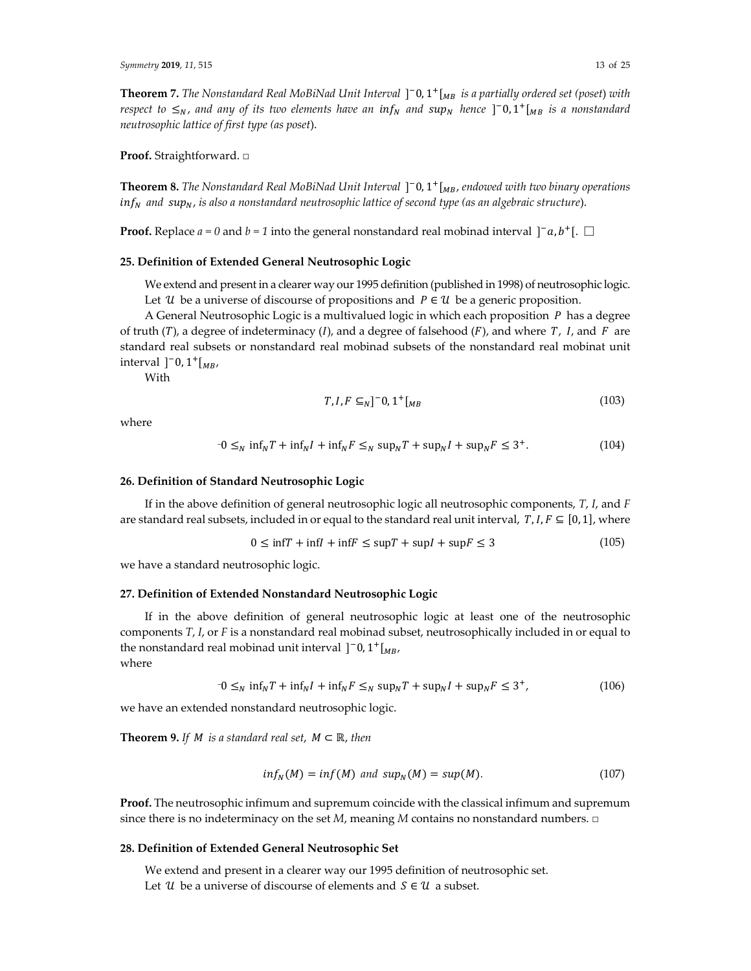$\bf{Theorem 7.}$  *The <code>Nonstandard Real MoBiNad Unit Interval ]*  $\bf{^-0,1^+}$   $\rm{[_}$  *is a partially ordered set (poset) with*</code>  $r$ espect to  $\leq_N$ , and any of its two elements have an  $\inf_N$  and  $\sup_N$  hence  $]$  <sup>-</sup>0,1<sup>+</sup> [ $_{MB}$  is a nonstandard *neutrosophic lattice of first type (as poset*).

**Proof.** Straightforward. □

 $\bf{Theorem 8.}$  *The Nonstandard Real MoBiNad Unit Interval*  $]$  <sup>–</sup> 0, 1<sup>+</sup> [<sub>MB</sub>, endowed with two binary operations ே *and* ே, *is also a nonstandard neutrosophic lattice of second type (as an algebraic structure*).

**Proof.** Replace  $a = 0$  and  $b = 1$  into the general nonstandard real mobinad interval  $]^{-}a, b^{+}[. \Box$ 

# **25. Definition of Extended General Neutrosophic Logic**

We extend and present in a clearer way our 1995 definition (published in 1998) of neutrosophic logic. Let U be a universe of discourse of propositions and  $P \in \mathcal{U}$  be a generic proposition.

A General Neutrosophic Logic is a multivalued logic in which each proposition  $P$  has a degree of truth (T), a degree of indeterminacy  $(I)$ , and a degree of falsehood  $(F)$ , and where  $T$ ,  $I$ , and  $F$  are standard real subsets or nonstandard real mobinad subsets of the nonstandard real mobinat unit interval  $]$ <sup>-</sup>0,1<sup>+</sup>[ $_{MB}$ ,

With

$$
T, I, F \subseteq_N ]^{-} 0, 1^+ [{}_{MB} \tag{103}
$$

where

$$
-0 \leq_N \inf_N T + \inf_N I + \inf_N F \leq_N \sup_N T + \sup_N I + \sup_N F \leq 3^+.
$$
 (104)

#### **26. Definition of Standard Neutrosophic Logic**

If in the above definition of general neutrosophic logic all neutrosophic components, *T*, *I*, and *F* are standard real subsets, included in or equal to the standard real unit interval,  $T, I, F \subseteq [0, 1]$ , where

$$
0 \le \inf T + \inf I + \inf F \le \sup T + \sup I + \sup F \le 3 \tag{105}
$$

we have a standard neutrosophic logic.

#### **27. Definition of Extended Nonstandard Neutrosophic Logic**

If in the above definition of general neutrosophic logic at least one of the neutrosophic components *T*, *I*, or *F* is a nonstandard real mobinad subset, neutrosophically included in or equal to the nonstandard real mobinad unit interval  $]$ <sup>-</sup>0, 1<sup>+</sup>[ $_{MB}$ , where

$$
-0 \leq_N \inf_N T + \inf_N I + \inf_N F \leq_N \sup_N T + \sup_N I + \sup_N F \leq 3^+, \tag{106}
$$

we have an extended nonstandard neutrosophic logic.

**Theorem 9.** If *M* is a standard real set,  $M \subset \mathbb{R}$ , then

$$
inf_N(M) = inf(M) \text{ and } sup_N(M) = sup(M). \tag{107}
$$

**Proof.** The neutrosophic infimum and supremum coincide with the classical infimum and supremum since there is no indeterminacy on the set  $M$ , meaning  $M$  contains no nonstandard numbers.  $\Box$ 

# **28. Definition of Extended General Neutrosophic Set**

We extend and present in a clearer way our 1995 definition of neutrosophic set. Let  $\mathcal U$  be a universe of discourse of elements and  $S \in \mathcal U$  a subset.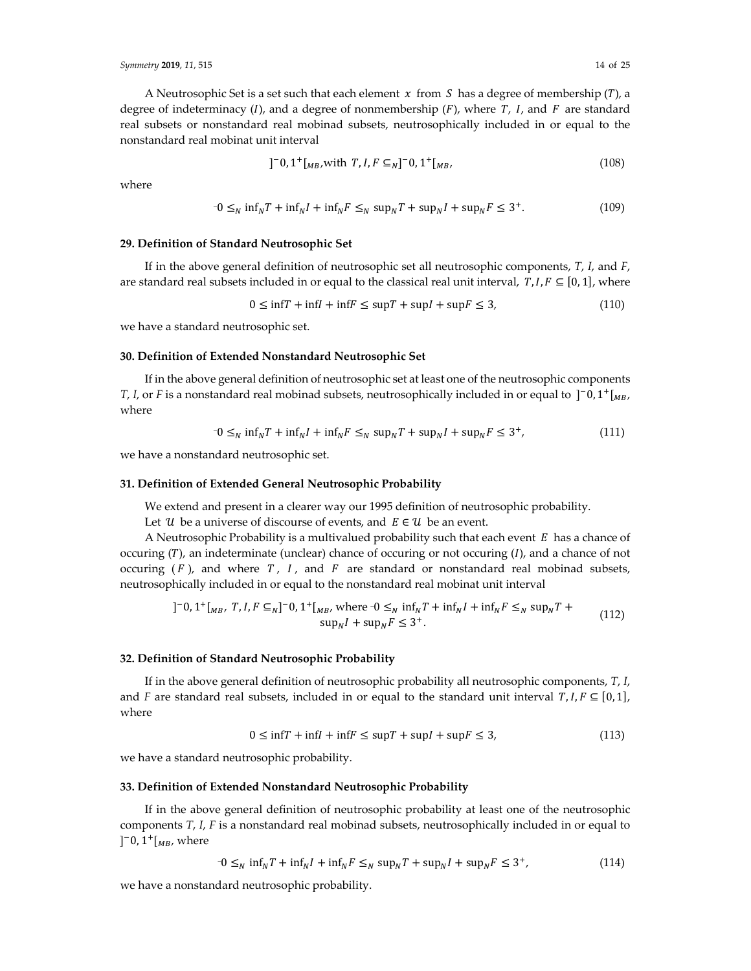A Neutrosophic Set is a set such that each element  $x$  from  $S$  has a degree of membership (T), a degree of indeterminacy (I), and a degree of nonmembership  $(F)$ , where T, I, and F are standard real subsets or nonstandard real mobinad subsets, neutrosophically included in or equal to the nonstandard real mobinat unit interval

$$
]^{-}0,1^{+}[_{MB},\text{with }T,I,F\subseteq_N]^{-}0,1^{+}[_{MB},\tag{108}
$$

where

$$
-0 \leq_N \inf_N T + \inf_N I + \inf_N F \leq_N \sup_N T + \sup_N I + \sup_N F \leq 3^+.
$$
 (109)

## **29. Definition of Standard Neutrosophic Set**

If in the above general definition of neutrosophic set all neutrosophic components, *T*, *I*, and *F*, are standard real subsets included in or equal to the classical real unit interval,  $T, I, F \subseteq [0, 1]$ , where

$$
0 \le \inf T + \inf I + \inf F \le \sup T + \sup I + \sup F \le 3,\tag{110}
$$

we have a standard neutrosophic set.

# **30. Definition of Extended Nonstandard Neutrosophic Set**

If in the above general definition of neutrosophic set at least one of the neutrosophic components *T*, *I*, or *F* is a nonstandard real mobinad subsets, neutrosophically included in or equal to  $]$ <sup>-</sup>0, 1<sup>+</sup>[<sub>*MB*</sub>, where

$$
-0 \leq_N \inf_N T + \inf_N I + \inf_N F \leq_N \sup_N T + \sup_N I + \sup_N F \leq 3^+, \tag{111}
$$

we have a nonstandard neutrosophic set.

#### **31. Definition of Extended General Neutrosophic Probability**

We extend and present in a clearer way our 1995 definition of neutrosophic probability.

Let  $\mathcal U$  be a universe of discourse of events, and  $E \in \mathcal U$  be an event.

A Neutrosophic Probability is a multivalued probability such that each event  $E$  has a chance of occuring  $(T)$ , an indeterminate (unclear) chance of occuring or not occuring  $(I)$ , and a chance of not occuring  $(F)$ , and where  $T$ ,  $I$ , and  $F$  are standard or nonstandard real mobinad subsets, neutrosophically included in or equal to the nonstandard real mobinat unit interval

$$
]^{-}0,1^{+}[_{MB}, T, I, F \subseteq_{N}]^{-}0,1^{+}[_{MB}, \text{ where } 0 \leq_{N} \inf_{N} T + \inf_{N} I + \inf_{N} F \leq_{N} \sup_{N} T + \sup_{N} I + \sup_{N} F \leq 3^{+}.
$$
\n(112)

#### **32. Definition of Standard Neutrosophic Probability**

If in the above general definition of neutrosophic probability all neutrosophic components, *T*, *I*, and *F* are standard real subsets, included in or equal to the standard unit interval  $T, I, F \subseteq [0, 1]$ , where

$$
0 \le \inf T + \inf I + \inf F \le \sup T + \sup I + \sup F \le 3,\tag{113}
$$

we have a standard neutrosophic probability.

#### **33. Definition of Extended Nonstandard Neutrosophic Probability**

If in the above general definition of neutrosophic probability at least one of the neutrosophic components *T*, *I*, *F* is a nonstandard real mobinad subsets, neutrosophically included in or equal to ]<sup>-</sup>0,  $1^+$ [<sub>*MB*</sub>, where

$$
-0 \leq_N \inf_N T + \inf_N I + \inf_N F \leq_N \sup_N T + \sup_N I + \sup_N F \leq 3^+, \tag{114}
$$

we have a nonstandard neutrosophic probability.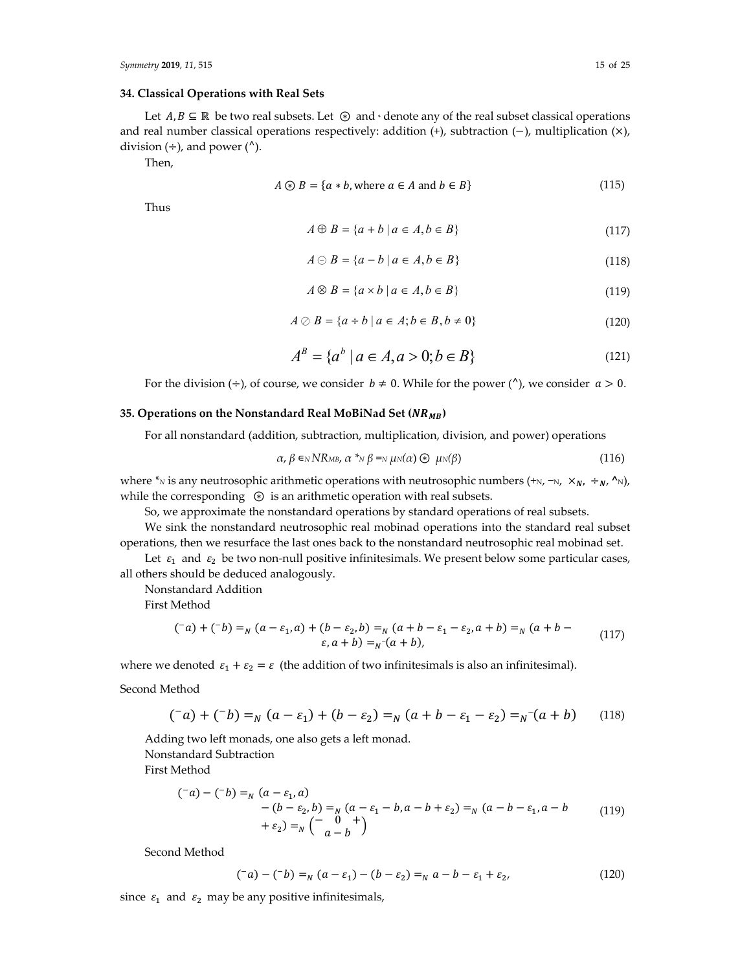## **34. Classical Operations with Real Sets**

Let  $A, B \subseteq \mathbb{R}$  be two real subsets. Let  $\odot$  and  $\cdot$  denote any of the real subset classical operations and real number classical operations respectively: addition  $(+)$ , subtraction  $(-)$ , multiplication  $(\times)$ , division  $(\div)$ , and power  $(^{\wedge})$ .

Then,

$$
A \circledast B = \{a * b, \text{where } a \in A \text{ and } b \in B\} \tag{115}
$$

Thus

$$
A \oplus B = \{a + b \mid a \in A, b \in B\}
$$
\n<sup>(117)</sup>

$$
A \ominus B = \{a - b \mid a \in A, b \in B\}
$$
\n<sup>(118)</sup>

$$
A \otimes B = \{a \times b \mid a \in A, b \in B\}
$$
\n<sup>(119)</sup>

$$
A \oslash B = \{a \div b \mid a \in A; b \in B, b \neq 0\}
$$
\n
$$
(120)
$$

$$
A^{B} = \{a^{b} \mid a \in A, a > 0; b \in B\}
$$
 (121)

For the division  $(\div)$ , of course, we consider  $b \neq 0$ . While for the power ( $\wedge$ ), we consider  $a > 0$ .

## **35. Operations on the Nonstandard Real MoBiNad Set ()**

For all nonstandard (addition, subtraction, multiplication, division, and power) operations

$$
\alpha, \beta \in N\mathbb{R}_{\mathsf{MB}}, \alpha^* \gamma \beta = N \mu N(\alpha) \quad \text{and} \quad \mu^2 \beta \tag{116}
$$

where <sup>\*</sup>N is any neutrosophic arithmetic operations with neutrosophic numbers (+N, −N,  $\times_{N}$ ,  $\div_{N}$ ,  $\wedge$ N), while the corresponding ⊛ is an arithmetic operation with real subsets.

So, we approximate the nonstandard operations by standard operations of real subsets.

We sink the nonstandard neutrosophic real mobinad operations into the standard real subset operations, then we resurface the last ones back to the nonstandard neutrosophic real mobinad set.

Let  $\varepsilon_1$  and  $\varepsilon_2$  be two non-null positive infinitesimals. We present below some particular cases, all others should be deduced analogously.

Nonstandard Addition

First Method

$$
(\bar{a}) + (\bar{b}) =_N (a - \varepsilon_1, a) + (b - \varepsilon_2, b) =_N (a + b - \varepsilon_1 - \varepsilon_2, a + b) =_N (a + b - \varepsilon_1, a + b) =_N (a + b - \varepsilon_1, a + b) =_N (a + b)
$$
\n
$$
(\bar{a}) + (\bar{b}) =_N (a - \varepsilon_1, a) + (\bar{b}) =_N (a + b - \varepsilon_1, a + b) =_N (a + b - \varepsilon_1, a + b) =_N (a + b - \varepsilon_1, a + b) =_N (a + b - \varepsilon_1, a + b) =_N (a + b - \varepsilon_1, a + b) =_N (a + b - \varepsilon_1, a + b) =_N (a + b - \varepsilon_1, a + b) =_N (a + b - \varepsilon_1, a + b) =_N (a + b - \varepsilon_1, a + b) =_N (a + b - \varepsilon_1, a + b) =_N (a + b - \varepsilon_1, a + b) =_N (a + b - \varepsilon_1, a + b) =_N (a + b - \varepsilon_1, a + b) =_N (a + b - \varepsilon_1, a + b) =_N (a + b - \varepsilon_1, a + b) =_N (a + b - \varepsilon_1, a + b) =_N (a + b - \varepsilon_1, a + b) =_N (a + b - \varepsilon_1, a + b) =_N (a + b - \varepsilon_1, a + b) =_N (a + b - \varepsilon_1, a + b) =_N (a + b - \varepsilon_1, a + b) =_N (a + b - \varepsilon_1, a + b) =_N (a + b - \varepsilon_1, a + b) =_N (a + b - \varepsilon_1, a + b) =_N (a + b - \varepsilon_1, a + b) =_N (a + b - \varepsilon_1, a + b) =_N (a + b - \varepsilon_1, a + b) =_N (a + b - \varepsilon_1, a + b) =_N (a + b - \varepsilon_1, a + b) =_N (a + b - \varepsilon_1, a + b) =_N (a + b - \varepsilon_1, a + b) =_N (a + b - \varepsilon_1, a + b
$$

where we denoted  $\varepsilon_1 + \varepsilon_2 = \varepsilon$  (the addition of two infinitesimals is also an infinitesimal).

Second Method

$$
(\bar{a}) + (\bar{b}) =_N (a - \varepsilon_1) + (b - \varepsilon_2) =_N (a + b - \varepsilon_1 - \varepsilon_2) =_N (a + b)
$$
 (118)

Adding two left monads, one also gets a left monad. Nonstandard Subtraction First Method

$$
\begin{aligned} \n(^{-}a) - (^{-}b) &=_{N} (a - \varepsilon_{1}, a) \\ \n&- (b - \varepsilon_{2}, b) =_{N} (a - \varepsilon_{1} - b, a - b + \varepsilon_{2}) =_{N} (a - b - \varepsilon_{1}, a - b \\ \n&+ \varepsilon_{2}) &=_{N} \begin{pmatrix} - & 0 & + \\ & a - b \end{pmatrix} \n\end{aligned} \tag{119}
$$

Second Method

$$
(\bar{a}) - (\bar{b}) =_N (a - \varepsilon_1) - (b - \varepsilon_2) =_N a - b - \varepsilon_1 + \varepsilon_2,
$$
\n(120)

since  $\varepsilon_1$  and  $\varepsilon_2$  may be any positive infinitesimals,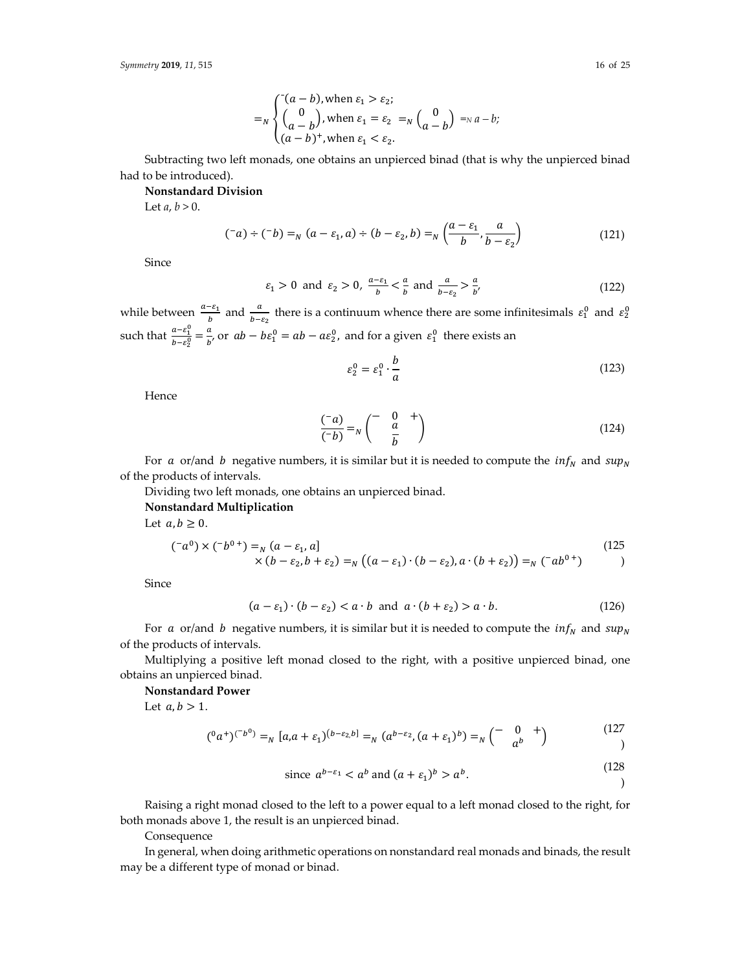Subtracting two left monads, one obtains an unpierced binad (that is why the unpierced binad had to be introduced).

 $(a - b)^+$ , when  $\varepsilon_1 < \varepsilon_2$ .

#### **Nonstandard Division**

 $=_N$   $\langle$ 

Let  $a, b > 0$ .

$$
(\bar{a}) \div (\bar{b}) =_N (a - \varepsilon_1, a) \div (b - \varepsilon_2, b) =_N \left( \frac{a - \varepsilon_1}{b}, \frac{a}{b - \varepsilon_2} \right)
$$
(121)

Since

$$
\varepsilon_1 > 0 \text{ and } \varepsilon_2 > 0, \frac{a - \varepsilon_1}{b} < \frac{a}{b} \text{ and } \frac{a}{b - \varepsilon_2} > \frac{a}{b'}, \tag{122}
$$

while between  $\frac{a-\varepsilon_1}{b}$  and  $\frac{a}{b-\varepsilon_2}$  there is a continuum whence there are some infinitesimals  $\varepsilon_1^0$  and  $\varepsilon_2^0$ such that  $\frac{a-\varepsilon_1^0}{b_0a_0^0}$  $\frac{a-\varepsilon_1^0}{b-\varepsilon_2^0} = \frac{a}{b'}$  or  $ab - b\varepsilon_1^0 = ab - a\varepsilon_2^0$ , and for a given  $\varepsilon_1^0$  there exists an

$$
\varepsilon_2^0 = \varepsilon_1^0 \cdot \frac{b}{a} \tag{123}
$$

Hence

$$
\frac{(-a)}{(-b)} = N \begin{pmatrix} - & 0 & + \\ & \frac{a}{b} & \end{pmatrix}
$$
 (124)

For a or/and b negative numbers, it is similar but it is needed to compute the  $inf_N$  and  $sup_N$ of the products of intervals.

Dividing two left monads, one obtains an unpierced binad.

## **Nonstandard Multiplication**

Let  $a, b \geq 0$ .

$$
(^{-}a^{0}) \times (^{-}b^{0+}) =_{N} (a - \varepsilon_{1}, a] \times (b - \varepsilon_{2}, b + \varepsilon_{2}) =_{N} ((a - \varepsilon_{1}) \cdot (b - \varepsilon_{2}), a \cdot (b + \varepsilon_{2})) =_{N} (^{-}ab^{0+})
$$
\n
$$
(125)
$$

Since

$$
(a - \varepsilon_1) \cdot (b - \varepsilon_2) < a \cdot b \quad \text{and} \quad a \cdot (b + \varepsilon_2) > a \cdot b. \tag{126}
$$

For a or/and b negative numbers, it is similar but it is needed to compute the  $inf_N$  and  $sup_N$ of the products of intervals.

Multiplying a positive left monad closed to the right, with a positive unpierced binad, one obtains an unpierced binad.

#### **Nonstandard Power**

Let  $a, b > 1$ .

$$
({}^{0}a^{+})^{(-b^{0})} =_{N} [a,a+\varepsilon_{1})^{(b-\varepsilon_{2},b]} =_{N} (a^{b-\varepsilon_{2}}, (a+\varepsilon_{1})^{b}) =_{N} {(-\begin{array}{cc} 0 & + \\ a^{b} \end{array})}
$$
(127)

since 
$$
a^{b-\varepsilon_1} < a^b
$$
 and  $(a + \varepsilon_1)^b > a^b$ . (128)

Raising a right monad closed to the left to a power equal to a left monad closed to the right, for both monads above 1, the result is an unpierced binad.

Consequence

In general, when doing arithmetic operations on nonstandard real monads and binads, the result may be a different type of monad or binad.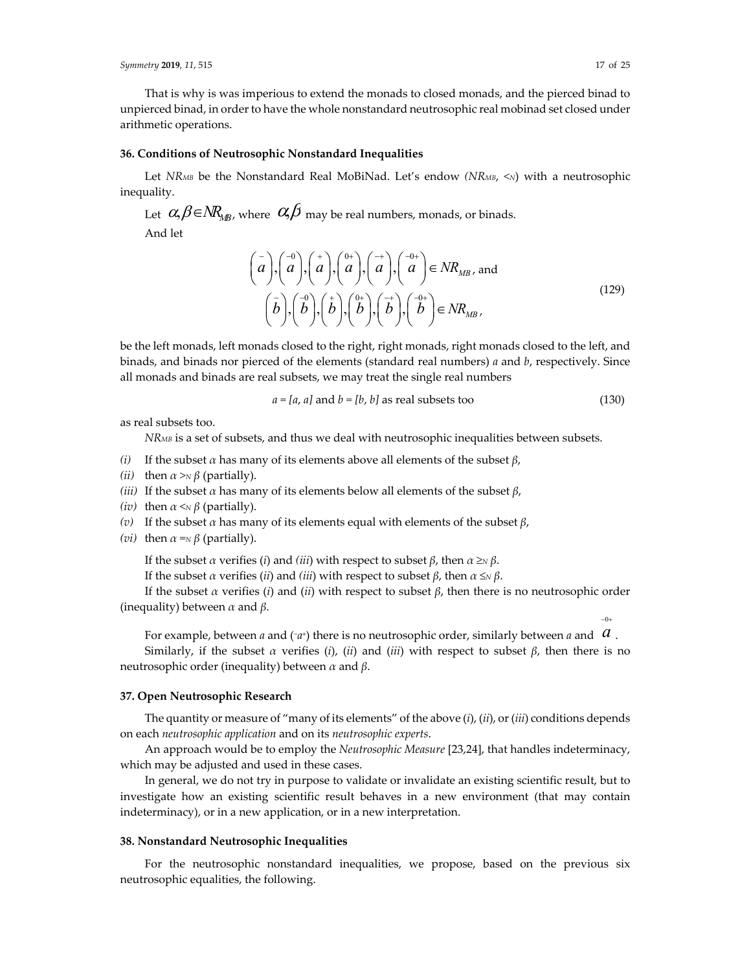$-0+$ 

That is why is was imperious to extend the monads to closed monads, and the pierced binad to unpierced binad, in order to have the whole nonstandard neutrosophic real mobinad set closed under arithmetic operations.

#### **36. Conditions of Neutrosophic Nonstandard Inequalities**

Let *NRMB* be the Nonstandard Real MoBiNad. Let's endow *(NRMB, <N)* with a neutrosophic inequality.

Let  $\alpha, \beta \in NR_{MR}$ , where  $\alpha, \beta$  may be real numbers, monads, or binads. And let

$$
\begin{pmatrix} - \\ a \\ b \end{pmatrix}, \begin{pmatrix} -0 \\ a \\ b \end{pmatrix}, \begin{pmatrix} + \\ a \\ b \end{pmatrix}, \begin{pmatrix} 0^+ \\ a \\ b \end{pmatrix}, \begin{pmatrix} -1 \\ a \\ b \end{pmatrix}, \begin{pmatrix} -0^+ \\ a \\ b \end{pmatrix} \in NR_{MB}, and
$$
\n
$$
\begin{pmatrix} \bar{b} \\ \bar{b} \end{pmatrix}, \begin{pmatrix} -1 \\ b \\ b \end{pmatrix}, \begin{pmatrix} 0^+ \\ b \\ b \end{pmatrix}, \begin{pmatrix} -1 \\ b \\ b \end{pmatrix}, \begin{pmatrix} -1 \\ b \\ b \end{pmatrix} \in NR_{MB}, \tag{129}
$$

be the left monads, left monads closed to the right, right monads, right monads closed to the left, and binads, and binads nor pierced of the elements (standard real numbers) *a* and *b*, respectively. Since all monads and binads are real subsets, we may treat the single real numbers

$$
a = [a, a] \text{ and } b = [b, b] \text{ as real subsets too} \tag{130}
$$

as real subsets too.

*NRMB* is a set of subsets, and thus we deal with neutrosophic inequalities between subsets.

- *(i)* If the subset *α* has many of its elements above all elements of the subset *β*,
- *(ii)* then  $\alpha > N$  *β* (partially).
- *(iii)* If the subset  $\alpha$  has many of its elements below all elements of the subset  $\beta$ ,
- *(iv)* then  $\alpha \leq N \beta$  (partially).
- *(v)* If the subset *α* has many of its elements equal with elements of the subset *β*,
- *(vi)* then  $\alpha = N$ *β* (partially).

If the subset *α* verifies (*i*) and *(iii*) with respect to subset *β*, then *α ≥N β*.

If the subset *α* verifies (*ii*) and *(iii*) with respect to subset *β*, then *α ≤N β*.

If the subset *α* verifies (*i*) and (*ii*) with respect to subset *β*, then there is no neutrosophic order (inequality) between *α* and *β*.

For example, between *a* and (~*a*+) there is no neutrosophic order, similarly between *a* and  $|a|$ .

Similarly, if the subset *α* verifies (*i*), (*ii*) and (*iii*) with respect to subset  $β$ , then there is no neutrosophic order (inequality) between *α* and *β*.

## **37. Open Neutrosophic Research**

The quantity or measure of "many of its elements" of the above (*i*), (*ii*), or(*iii*) conditions depends on each *neutrosophic application* and on its *neutrosophic experts*.

An approach would be to employ the *Neutrosophic Measure* [23,24], that handles indeterminacy, which may be adjusted and used in these cases.

In general, we do not try in purpose to validate or invalidate an existing scientific result, but to investigate how an existing scientific result behaves in a new environment (that may contain indeterminacy), or in a new application, or in a new interpretation.

## **38. Nonstandard Neutrosophic Inequalities**

For the neutrosophic nonstandard inequalities, we propose, based on the previous six neutrosophic equalities, the following.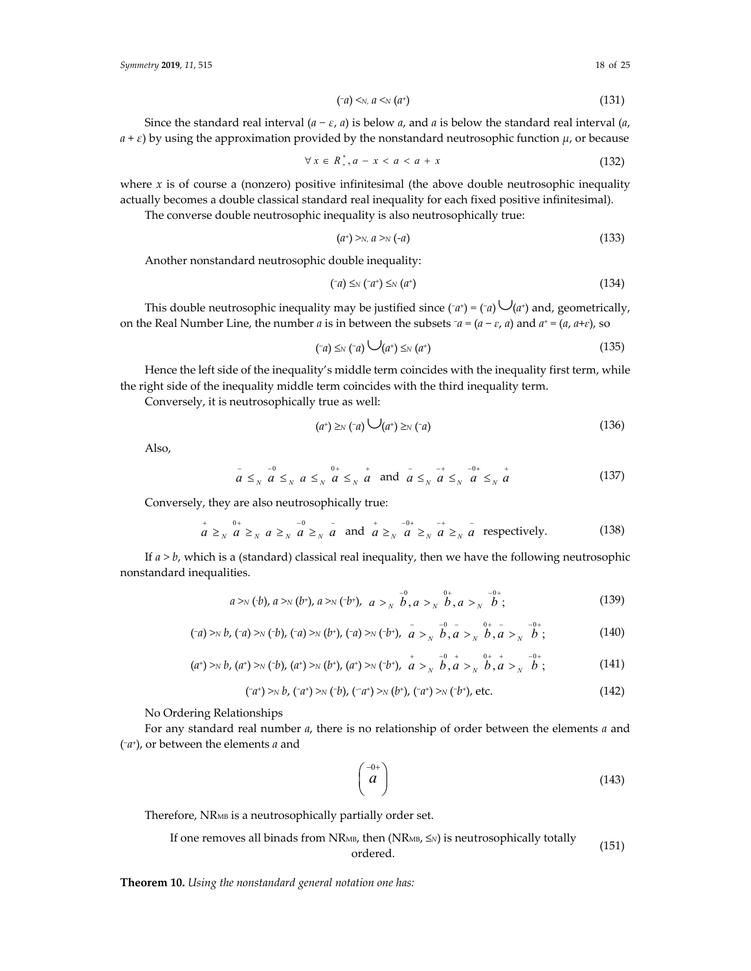$$
(\neg a) \leq_{N} a \leq_{N} (a^+) \tag{131}
$$

Since the standard real interval  $(a - \varepsilon, a)$  is below  $a$ , and  $a$  is below the standard real interval  $(a, a)$  $a + \varepsilon$ ) by using the approximation provided by the nonstandard neutrosophic function  $\mu$ , or because

$$
\forall x \in R^*_+, a - x < a < a + x \tag{132}
$$

where  $x$  is of course a (nonzero) positive infinitesimal (the above double neutrosophic inequality actually becomes a double classical standard real inequality for each fixed positive infinitesimal).

The converse double neutrosophic inequality is also neutrosophically true:

$$
(a^{+})\gg_{N} a\gg_{N} (-a) \tag{133}
$$

Another nonstandard neutrosophic double inequality:

$$
(\neg a) \leq_N (\neg a^+) \leq_N (a^+) \tag{134}
$$

This double neutrosophic inequality may be justified since  $(\neg a^+) = (\neg a) \bigcup (a^+)$  and, geometrically, on the Real Number Line, the number *a* is in between the subsets <sup>−</sup>*a =* (*a* − *ɛ*, *a*) and *a*<sup>+</sup> *=* (*a*, *a*+*ɛ*), so

$$
(\neg a) \leq_N (\neg a) \bigcup (a^+) \leq_N (a^+) \tag{135}
$$

Hence the left side of the inequality's middle term coincides with the inequality first term, while the right side of the inequality middle term coincides with the third inequality term.

Conversely, it is neutrosophically true as well:

$$
(a^+) \geq_N (-a) \bigcup (a^+) \geq_N (-a) \tag{136}
$$

Also,

$$
a \leq_{N} a \leq_{N} a \leq_{N} a \leq_{N} a \leq_{N} a
$$
 and  $a \leq_{N} a \leq_{N} a \leq_{N} a$  (137)

Conversely, they are also neutrosophically true:

$$
\begin{array}{c}\n a \geq_{N} a \geq_{N} a \geq_{N} a \geq_{N} a \\
 a \geq_{N} a \geq_{N} a \text{ and } a \geq_{N} a \geq_{N} a \geq_{N} a \\
 \end{array}
$$
\n
$$
\text{respectively.} \tag{138}
$$

If *a > b*, which is a (standard) classical real inequality, then we have the following neutrosophic nonstandard inequalities.

$$
a > N(b), a > N(b^*), a > N(b^*), a > \frac{1}{N} \stackrel{0}{b}, a > \frac{0}{N} \stackrel{0}{b}, a > \frac{0}{N} \stackrel{0}{j};
$$
 (139)

$$
(\neg a) >_{N} b, \, (\neg a) >_{N} (\neg b), \, (\neg a) >_{N} (b^{+}), \, (\neg a) >_{N} (\neg b^{+}), \, \bar{a} >_{N} \bar{b} \bar{b}, \bar{a} >_{N} \bar{b} \bar{b}, \bar{a} >_{N} \bar{b} \, ; \tag{140}
$$

$$
(a^{+}) \gg b, (a^{+}) \gg (b^{+}), (a^{+}) \gg (b^{+}), (a^{+}) \gg (b^{+}), a^{+} \gg \frac{1}{b}, a^{0} \gg \frac{1}{b}, a^{0} \gg \frac{1}{b}, a^{0} \gg \frac{1}{b},
$$
\n(141)

$$
(\neg a^{+}) >_{N} b, \, (\neg a^{+}) >_{N} (\neg b), \, (\neg a^{+}) >_{N} (b^{+}), \, (\neg a^{+}) >_{N} (\neg b^{+}), \, \text{etc.} \tag{142}
$$

No Ordering Relationships

For any standard real number *a*, there is no relationship of order between the elements *a* and (−*a*+), or between the elements *a* and

$$
\begin{pmatrix} -0+ \\ a \end{pmatrix} \tag{143}
$$

Therefore, NRMB is a neutrosophically partially order set.

If one removes all binads from NR<sub>MB</sub>, then  $(NR_{MB}, \leq N)$  is neutrosophically totally  $\text{ordered.}$  (151)

**Theorem 10.** *Using the nonstandard general notation one has:*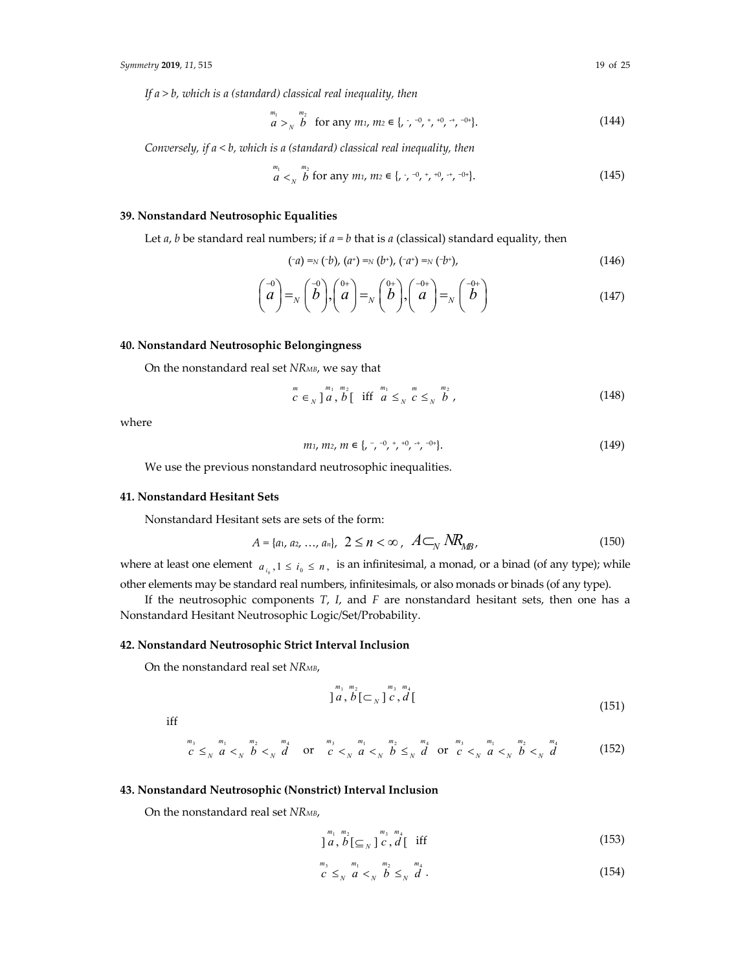*If a > b, which is a (standard) classical real inequality, then*

$$
\begin{array}{ll}\nm_1 & m_2 \\
a & >_N b\n\end{array}\n\text{ for any } m_1, \, m_2 \in \{ , \, , ^{-0}, ^{+}_{\phantom{-}1}, ^{+0}, ^{-0+}_{\phantom{-}1}, ^{-0+}_{\phantom{-}1}\}.\n\tag{144}
$$

*Conversely, if a < b, which is a (standard) classical real inequality, then*

$$
\begin{array}{l}\nm_1 \\
a \lt N \quad b \text{ for any } m_1, \, m_2 \in \{ , \, , \, \neg^0, \, ^+, ^+0, \, ^+, ^-0^+ \}.\n\end{array} \tag{145}
$$

# **39. Nonstandard Neutrosophic Equalities**

Let *a*, *b* be standard real numbers; if  $a = b$  that is *a* (classical) standard equality, then

$$
(\neg a) = N (\neg b), (a^+) = N (b^+), (\neg a^+) = N (\neg b^+), \tag{146}
$$

$$
\begin{pmatrix} -0 \\ a \end{pmatrix} = N \begin{pmatrix} -0 \\ b \end{pmatrix}, \begin{pmatrix} 0+ \\ a \end{pmatrix} = N \begin{pmatrix} 0+ \\ b \end{pmatrix}, \begin{pmatrix} -0+ \\ a \end{pmatrix} = N \begin{pmatrix} -0+ \\ b \end{pmatrix}
$$
 (147)

## **40. Nonstandard Neutrosophic Belongingness**

On the nonstandard real set *NRMB*, we say that

$$
c \in N^{m_1 \, m_2} \, \text{if} \, \text{if} \, \text{if} \, \text{if} \, \text{if} \, \text{if} \, \text{if} \, \text{if} \, \text{if} \, \text{if} \, \text{if} \, \text{if} \, \text{if} \, \text{if} \, \text{if} \, \text{if} \, \text{if} \, \text{if} \, \text{if} \, \text{if} \, \text{if} \, \text{if} \, \text{if} \, \text{if} \, \text{if} \, \text{if} \, \text{if} \, \text{if} \, \text{if} \, \text{if} \, \text{if} \, \text{if} \, \text{if} \, \text{if} \, \text{if} \, \text{if} \, \text{if} \, \text{if} \, \text{if} \, \text{if} \, \text{if} \, \text{if} \, \text{if} \, \text{if} \, \text{if} \, \text{if} \, \text{if} \, \text{if} \, \text{if} \, \text{if} \, \text{if} \, \text{if} \, \text{if} \, \text{if} \, \text{if} \, \text{if} \, \text{if} \, \text{if} \, \text{if} \, \text{if} \, \text{if} \, \text{if} \, \text{if} \, \text{if} \, \text{if} \, \text{if} \, \text{if} \, \text{if} \, \text{if} \, \text{if} \, \text{if} \, \text{if} \, \text{if} \, \text{if} \, \text{if} \, \text{if} \, \text{if} \, \text{if} \, \text{if} \, \text{if} \, \text{if} \, \text{if} \, \text{if} \, \text{if} \, \text{if} \, \text{if} \, \text{if} \, \text{if} \, \text{if} \, \text{if} \, \text{if} \, \text{if} \, \text{if} \, \text{if} \, \text{if} \, \text{if} \, \text{if} \, \text{if} \, \text{if} \, \text{if} \, \text{if} \, \text{if} \, \text{if} \, \text{if} \, \text{if} \, \text{if} \, \
$$

where

$$
m_1, m_2, m \in \{ , -0, +, +0, +, -0 + \}.
$$
 (149)

We use the previous nonstandard neutrosophic inequalities.

#### **41. Nonstandard Hesitant Sets**

Nonstandard Hesitant sets are sets of the form:

$$
A = \{a_1, a_2, ..., a_n\}, \ 2 \le n < \infty, \ A \subset_N N R_{MB}, \tag{150}
$$

where at least one element  $a_{i_0}, 1 \le i_0 \le n$ , is an infinitesimal, a monad, or a binad (of any type); while other elements may be standard real numbers, infinitesimals, or also monads or binads (of any type).

If the neutrosophic components *T*, *I*, and *F* are nonstandard hesitant sets, then one has a Nonstandard Hesitant Neutrosophic Logic/Set/Probability.

# **42. Nonstandard Neutrosophic Strict Interval Inclusion**

On the nonstandard real set *NRMB*,

$$
\int_{a}^{m_1} \int_{b}^{m_2} \left[ \sum_{N} \int_{c}^{m_3} \int_{d}^{m_4} \right] \tag{151}
$$

iff

$$
\sum_{c}^{m_3} \sum_{s}^{m_1} \sum_{a}^{m_2} \sum_{s}^{m_3} \sum_{s}^{m_4} \sum_{s}^{m_5} \sum_{s}^{m_6} \sum_{s}^{m_7} \sum_{s}^{m_8} \sum_{s}^{m_9} \sum_{s}^{m_9} \sum_{s}^{m_1} \sum_{s}^{m_1} \sum_{s}^{m_2} \sum_{s}^{m_4} \sum_{s}^{m_5} \sum_{s}^{m_6} \sum_{s}^{m_7} \sum_{s}^{m_8} \sum_{s}^{m_9} \sum_{s}^{m_9} \sum_{s}^{m_9} \sum_{s}^{m_9} \sum_{s}^{m_1} \sum_{s}^{m_1} \sum_{s}^{m_1} \sum_{s}^{m_2} \sum_{s}^{m_3} \sum_{s}^{m_4} \sum_{s}^{m_5} \sum_{s}^{m_7} \sum_{s}^{m_8} \sum_{s}^{m_9} \sum_{s}^{m_9} \sum_{s}^{m_9} \sum_{s}^{m_1} \sum_{s}^{m_1} \sum_{s}^{m_1} \sum_{s}^{m_2} \sum_{s}^{m_1} \sum_{s}^{m_2} \sum_{s}^{m_3} \sum_{s}^{m_1} \sum_{s}^{m_2} \sum_{s}^{m_3} \sum_{s}^{m_4} \sum_{s}^{m_7} \sum_{s}^{m_8} \sum_{s}^{m_9} \sum_{s}^{m_9} \sum_{s}^{m_1} \sum_{s}^{m_1} \sum_{s}^{m_1} \sum_{s}^{m_2} \sum_{s}^{m_3} \sum_{s}^{m_1} \sum_{s}^{m_1} \sum_{s}^{m_2} \sum_{s}^{m_3} \sum_{s}^{m_1} \sum_{s}^{m_1} \sum_{s}^{m_1} \sum_{s}^{m_2} \sum_{s}^{m_3} \sum_{s}^{m_1} \sum_{s}^{m_2} \sum_{s}^{m_3} \sum_{s}^{m_1} \sum_{s}^{m_2} \sum_{s}^{m_3} \sum_{s}^{m_1} \sum_{s}^{m_1} \sum_{s}^{m_1} \sum_{s}^{m_1} \sum_{s}^{m_1} \sum_{s}^{m_1}
$$

## **43. Nonstandard Neutrosophic (Nonstrict) Interval Inclusion**

On the nonstandard real set *NRMB*,

$$
\int_{a}^{m_1} \int_{b}^{m_2} \left[ \underline{c}_{N} \right]_{c}^{m_3} \int_{d}^{m_4} \text{iff} \tag{153}
$$

$$
\sum_{c}^{m_3} \leq \sum_{N} \sum_{c}^{m_1} \leq \sum_{N} \sum_{c}^{m_2} \leq \sum_{N} \sum_{c}^{m_3} \tag{154}
$$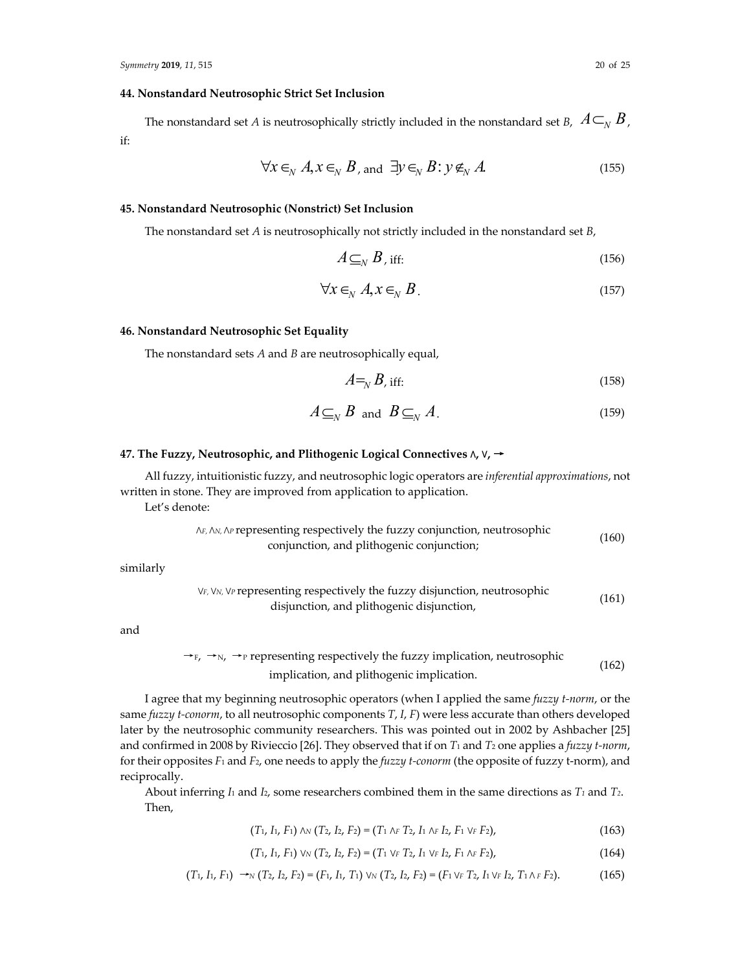# **44. Nonstandard Neutrosophic Strict Set Inclusion**

The nonstandard set *A* is neutrosophically strictly included in the nonstandard set *B*,  $A \subset_{N} B$ , if:

$$
\forall x \in_N A, x \in_N B, \text{ and } \exists y \in_N B: y \notin_N A \tag{155}
$$

# **45. Nonstandard Neutrosophic (Nonstrict) Set Inclusion**

The nonstandard set *A* is neutrosophically not strictly included in the nonstandard set *B*,

$$
A \subseteq_N B, \text{ iff:} \tag{156}
$$

$$
\forall x \in_N A, x \in_N B. \tag{157}
$$

# **46. Nonstandard Neutrosophic Set Equality**

The nonstandard sets *A* and *B* are neutrosophically equal,

$$
A =_N B, \text{ iff:} \tag{158}
$$

$$
A \subseteq_N B \text{ and } B \subseteq_N A. \tag{159}
$$

# **47. The Fuzzy, Neutrosophic, and Plithogenic Logical Connectives ∧, ∨,** →

All fuzzy, intuitionistic fuzzy, and neutrosophic logic operators are *inferential approximations*, not written in stone. They are improved from application to application.

Let's denote:

*∧F*, *∧N*, *∧<sup>P</sup>* representing respectively the fuzzy conjunction, neutrosophic conjunction, and plithogenic conjunction; (160)

similarly

*∨F*, *∨N*, *∨<sup>P</sup>* representing respectively the fuzzy disjunction, neutrosophic disjunction, and plithogenic disjunction, (161)

and

$$
\rightarrow_{F, \rightarrow N, \rightarrow P}
$$
 representing respectively the fuzzy implication, neutrosophic implication, and plithogenic implication. (162)

I agree that my beginning neutrosophic operators (when I applied the same *fuzzy t‐norm*, or the same *fuzzy t*-*conorm*, to all neutrosophic components *T*, *I*, *F*) were less accurate than others developed later by the neutrosophic community researchers. This was pointed out in 2002 by Ashbacher [25] and confirmed in 2008 by Rivieccio [26]. They observed that if on *T*<sup>1</sup> and *T*<sup>2</sup> one applies a *fuzzy t‐norm*, for their opposites *F*<sup>1</sup> and *F*2, one needs to apply the *fuzzy t‐conorm* (the opposite of fuzzy t‐norm), and reciprocally.

About inferring *I*<sup>1</sup> and *I*2, some researchers combined them in the same directions as *T1* and *T2*. Then,

$$
(T_1, I_1, F_1) \land \text{N} (T_2, I_2, F_2) = (T_1 \land F T_2, I_1 \land F I_2, F_1 \lor F F_2), \tag{163}
$$

$$
(T_1, I_1, F_1) \vee \vee (T_2, I_2, F_2) = (T_1 \vee F T_2, I_1 \vee F I_2, F_1 \wedge F I_2), \tag{164}
$$

$$
(T_1, I_1, F_1) \to_N (T_2, I_2, F_2) = (F_1, I_1, T_1) \vee_N (T_2, I_2, F_2) = (F_1 \vee_F T_2, I_1 \vee_F I_2, T_1 \wedge_F F_2). \tag{165}
$$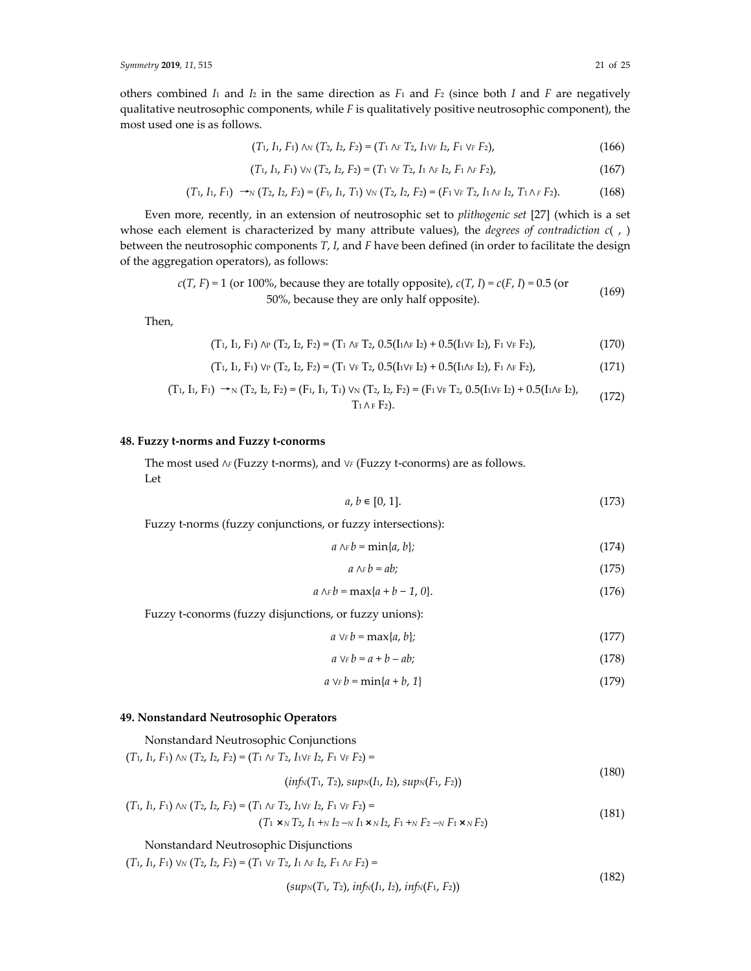others combined  $I_1$  and  $I_2$  in the same direction as  $F_1$  and  $F_2$  (since both  $I$  and  $F$  are negatively qualitative neutrosophic components, while *F* is qualitatively positive neutrosophic component), the most used one is as follows.

$$
(T_1, I_1, F_1) \land \text{N} (T_2, I_2, F_2) = (T_1 \land F T_2, I_1 \lor F I_2, F_1 \lor F F_2), \tag{166}
$$

$$
(T_1, I_1, F_1) \vee \vee (T_2, I_2, F_2) = (T_1 \vee_F T_2, I_1 \wedge_F I_2, F_1 \wedge_F F_2), \tag{167}
$$

$$
(T_1, I_1, F_1) \rightarrow_N (T_2, I_2, F_2) = (F_1, I_1, T_1) \vee_N (T_2, I_2, F_2) = (F_1 \vee_F T_2, I_1 \wedge_F I_2, T_1 \wedge_F F_2). \tag{168}
$$

Even more, recently, in an extension of neutrosophic set to *plithogenic set* [27] (which is a set whose each element is characterized by many attribute values), the *degrees of contradiction c*( , ) between the neutrosophic components *T*, *I*, and *F* have been defined (in order to facilitate the design of the aggregation operators), as follows:

$$
c(T, F) = 1
$$
 (or 100%, because they are totally opposite),  $c(T, I) = c(F, I) = 0.5$  (or 50%, because they are only half opposite). (169)

Then,

$$
(T_1, I_1, F_1) \wedge_P (T_2, I_2, F_2) = (T_1 \wedge_F T_2, 0.5(I_1 \wedge_F I_2) + 0.5(I_1 \vee_F I_2), F_1 \vee_F F_2),
$$
\n(170)

$$
(T_1, I_1, F_1) \vee_P (T_2, I_2, F_2) = (T_1 \vee_F T_2, 0.5(I_1 \vee_F I_2) + 0.5(I_1 \wedge_F I_2), F_1 \wedge_F F_2),
$$
\n(171)

$$
(T_1, I_1, F_1) \rightarrow_N (T_2, I_2, F_2) = (F_1, I_1, T_1) \vee_N (T_2, I_2, F_2) = (F_1 \vee_F T_2, 0.5(I_1 \vee_F I_2) + 0.5(I_1 \wedge_F I_2),
$$
  
\n
$$
T_1 \wedge_F F_2).
$$
 (172)

#### **48. Fuzzy t‐norms and Fuzzy t‐conorms**

The most used *∧<sup>F</sup>* (Fuzzy t‐norms), and *∨<sup>F</sup>* (Fuzzy t‐conorms) are as follows. Let

$$
a, b \in [0, 1]. \tag{173}
$$

Fuzzy t-norms (fuzzy conjunctions, or fuzzy intersections):

$$
a \wedge_F b = \min\{a, b\};\tag{174}
$$

$$
a \wedge_F b = ab; \tag{175}
$$

$$
a \wedge_F b = \max\{a + b - 1, 0\}.
$$
 (176)

Fuzzy t-conorms (fuzzy disjunctions, or fuzzy unions):

$$
a \vee_F b = \max\{a, b\};\tag{177}
$$

$$
a \vee_F b = a + b - ab; \tag{178}
$$

$$
a \vee_F b = \min\{a + b, 1\} \tag{179}
$$

#### **49. Nonstandard Neutrosophic Operators**

Nonstandard Neutrosophic Conjunctions

 $(T_1, I_1, F_1)$  AN  $(T_2, I_2, F_2) = (T_1 \wedge_F T_2, I_1 \vee_F I_2, F_1 \vee_F F_2) =$ 

$$
(inf_N(T_1, T_2), supp_N(I_1, I_2), supp(K_1, F_2))
$$
\n(180)

$$
(T_1, I_1, F_1) \wedge \mathcal{N}(T_2, I_2, F_2) = (T_1 \wedge_F T_2, I_1 \vee_F I_2, F_1 \vee_F F_2) =
$$
  

$$
(T_1 \times \mathcal{N} T_2, I_1 + \mathcal{N} I_2 \to I_1 \times \mathcal{N} I_2, F_1 + \mathcal{N} F_2 \to F_1 \times \mathcal{N} F_2)
$$
 (181)

#### Nonstandard Neutrosophic Disjunctions

 $(T_1, I_1, F_1)$  VN  $(T_2, I_2, F_2) = (T_1 \vee_F T_2, I_1 \wedge_F I_2, F_1 \wedge_F F_2) =$ 

$$
(supN(T1, T2), infN(I1, I2), infN(F1, F2))
$$
\n(182)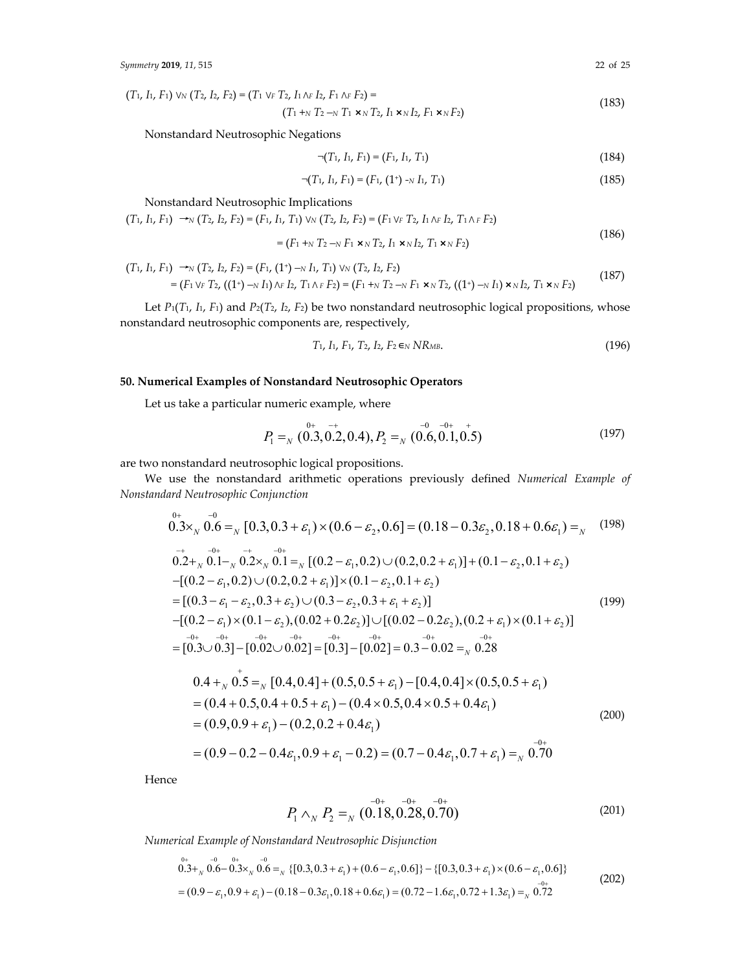$(T_1, I_1, F_1)$  VN  $(T_2, I_2, F_2) = (T_1 \vee_F T_2, I_1 \wedge_F I_2, F_1 \wedge_F F_2) =$  $(T_1 + N_1 T_2 - N_1 T_1 \times N_1 T_2, I_1 \times N_2 T_2, I_1 \times N_2 T_2, I_1 \times N_1 T_2)$  (183)

Nonstandard Neutrosophic Negations

$$
\neg (T_1, I_1, F_1) = (F_1, I_1, T_1) \tag{184}
$$

$$
\neg (T_1, I_1, F_1) = (F_1, (1^+) - N I_1, T_1) \tag{185}
$$

Nonstandard Neutrosophic Implications

 $(T_1, I_1, F_1) \rightarrow_N (T_2, I_2, F_2) = (F_1, I_1, T_1) \vee_N (T_2, I_2, F_2) = (F_1 \vee_F T_2, I_1 \wedge_F I_2, T_1 \wedge_F F_2)$ 

$$
= (F_1 +_N T_2 -_N F_1 \times_N T_2, I_1 \times_N I_2, T_1 \times_N F_2)
$$
\n
$$
(186)
$$

$$
(T_1, I_1, F_1) \rightarrow_N (T_2, I_2, F_2) = (F_1, (1^+) - N I_1, T_1) \vee_N (T_2, I_2, F_2)
$$
  
=  $(F_1 \vee_F T_2, ((1^+) - N I_1) \wedge_F I_2, T_1 \wedge_F F_2) = (F_1 + N I_2 - N I_1 \times_N T_2, ((1^+) - N I_1) \times_N I_2, T_1 \times_N F_2)$  (187)

Let  $P_1(T_1, I_1, F_1)$  and  $P_2(T_2, I_2, F_2)$  be two nonstandard neutrosophic logical propositions, whose nonstandard neutrosophic components are, respectively,

$$
T_1, I_1, F_1, T_2, I_2, F_2 \in N\ R_{MB}.\tag{196}
$$

# **50. Numerical Examples of Nonstandard Neutrosophic Operators**

Let us take a particular numeric example, where

$$
P_1 =_{N} 0.3, 0.2, 0.4, P_2 =_{N} 0.6, 0.1, 0.5)
$$
\n(197)

are two nonstandard neutrosophic logical propositions.

We use the nonstandard arithmetic operations previously defined *Numerical Example of Nonstandard Neutrosophic Conjunction*

$$
0.3 \times_{N} 0.6 =_{N} [0.3, 0.3 + \varepsilon_{1}) \times (0.6 - \varepsilon_{2}, 0.6] = (0.18 - 0.3\varepsilon_{2}, 0.18 + 0.6\varepsilon_{1}) =_{N} (198)
$$
  
\n
$$
0.2 +_{N} 0.1 -_{N} 0.2 \times_{N} 0.1 =_{N} [(0.2 - \varepsilon_{1}, 0.2) \cup (0.2, 0.2 + \varepsilon_{1})] + (0.1 - \varepsilon_{2}, 0.1 + \varepsilon_{2})
$$
  
\n
$$
-[(0.2 - \varepsilon_{1}, 0.2) \cup (0.2, 0.2 + \varepsilon_{1})] \times (0.1 - \varepsilon_{2}, 0.1 + \varepsilon_{2})
$$
  
\n
$$
= [(0.3 - \varepsilon_{1} - \varepsilon_{2}, 0.3 + \varepsilon_{2}) \cup (0.3 - \varepsilon_{2}, 0.3 + \varepsilon_{1} + \varepsilon_{2})]
$$
  
\n
$$
-[(0.2 - \varepsilon_{1}) \times (0.1 - \varepsilon_{2}), (0.02 + 0.2\varepsilon_{2})] \cup [(0.02 - 0.2\varepsilon_{2}), (0.2 + \varepsilon_{1}) \times (0.1 + \varepsilon_{2})]
$$
  
\n
$$
= [0.3 - 0.3 - 0.02 - \varepsilon_{1} - 0.2 + \varepsilon_{1} - 0.02 - \varepsilon_{2} - 0.2 + \varepsilon_{2} - 0.28]
$$
  
\n
$$
0.4 +_{N} 0.5 =_{N} [0.4, 0.4] + (0.5, 0.5 + \varepsilon_{1}) - [0.4, 0.4] \times (0.5, 0.5 + \varepsilon_{1})
$$
  
\n
$$
= (0.4 + 0.5, 0.4 + 0.5 + \varepsilon_{1}) - (0.4 \times 0.5, 0.4 \times 0.5 + 0.4\varepsilon_{1})
$$
  
\n
$$
= (0.9, 0.9 + \varepsilon_{1}) - (0.2, 0.2 + 0.4\varepsilon_{1})
$$
  
\n
$$
= (
$$

Hence

$$
P_1 \wedge_N P_2 =_N (0.18, 0.28, 0.70) \tag{201}
$$

*Numerical Example of Nonstandard Neutrosophic Disjunction*

$$
0.3^{0+}_{0.3} \times 0.6^{0-}_{0.3} \times 0.6^{0-}_{0.3} = \sqrt{(0.3, 0.3 + \varepsilon_1) + (0.6 - \varepsilon_1, 0.6)} + (0.3, 0.3 + \varepsilon_1) \times (0.6 - \varepsilon_1, 0.6)
$$
  
=  $(0.9 - \varepsilon_1, 0.9 + \varepsilon_1) - (0.18 - 0.3\varepsilon_1, 0.18 + 0.6\varepsilon_1) = (0.72 - 1.6\varepsilon_1, 0.72 + 1.3\varepsilon_1) = \sqrt{0.72}$  (202)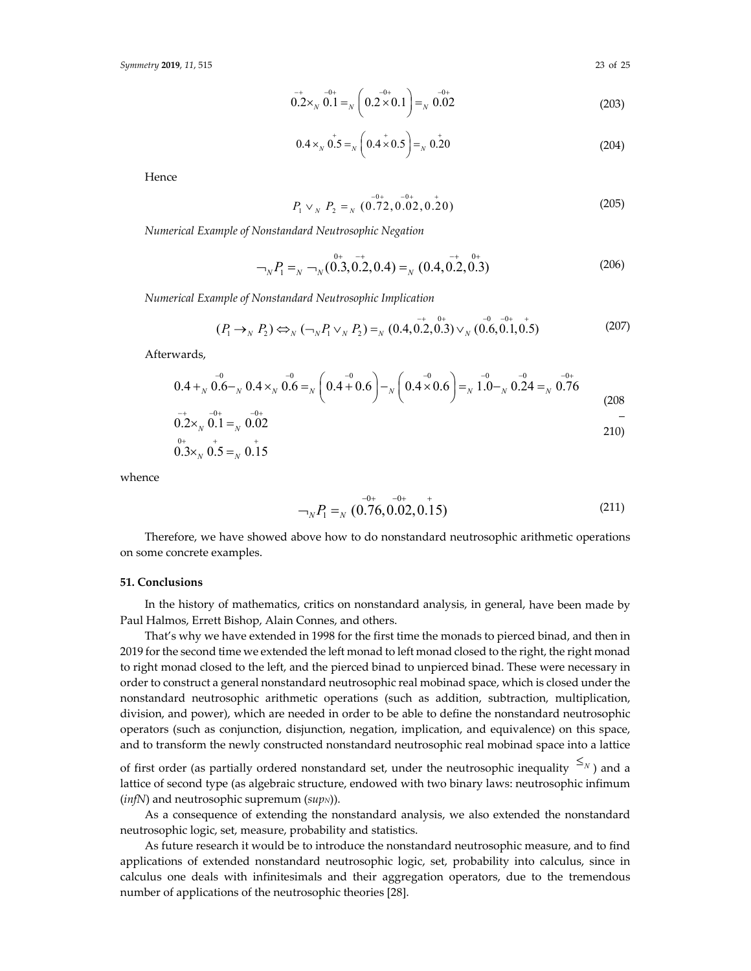$$
0.2 \times_{N} 0.1 =_{N} \left( 0.2 \times 0.1 \right) =_{N} 0.02
$$
 (203)

$$
0.4 \times_{N} 0.5 =_{N} \left( 0.4 \times 0.5 \right) =_{N} 0.20
$$
 (204)

Hence

$$
P_1 \vee_N P_2 =_N (0.72, 0.02, 0.20) \tag{205}
$$

*Numerical Example of Nonstandard Neutrosophic Negation*

$$
\bigg(206\big) = \bigg( \bigg( \bigg)^{0+} - \bigg( \bigg( \bigg) \bigg)^{-} \bigg( \bigg( \bigg) \bigg) \bigg) \bigg( \bigg( \bigg) \bigg) \bigg( \bigg( \bigg) \bigg) \bigg( \bigg( \bigg) \bigg) \bigg( \bigg( \bigg) \bigg) \bigg( \bigg( \bigg) \bigg) \bigg( \bigg( \bigg) \bigg) \bigg( \bigg( \bigg) \bigg) \bigg( \bigg( \bigg) \bigg) \bigg( \bigg( \bigg) \bigg) \bigg( \bigg( \bigg) \bigg) \bigg( \bigg) \bigg( \bigg) \bigg( \bigg) \bigg( \bigg) \bigg( \bigg) \bigg( \bigg) \bigg( \bigg) \bigg( \bigg) \bigg( \bigg) \bigg( \bigg) \bigg( \bigg) \bigg( \bigg) \bigg( \bigg) \bigg( \bigg) \bigg( \bigg) \bigg( \bigg) \bigg( \bigg) \bigg( \bigg) \bigg( \bigg) \bigg) \bigg( \bigg) \bigg( \bigg) \bigg( \bigg) \bigg( \bigg) \bigg( \bigg) \bigg( \bigg) \bigg) \bigg( \bigg) \bigg( \bigg) \bigg( \bigg) \bigg( \bigg) \bigg( \bigg) \bigg) \bigg( \bigg) \bigg( \bigg) \bigg( \bigg) \bigg( \bigg) \bigg( \bigg) \bigg( \bigg) \bigg) \bigg( \bigg) \bigg( \bigg) \bigg( \bigg) \bigg( \bigg) \bigg( \bigg) \bigg) \bigg( \bigg) \bigg( \bigg) \bigg( \bigg) \bigg( \bigg) \bigg) \bigg( \bigg) \bigg( \bigg) \bigg( \bigg) \bigg( \bigg) \bigg) \bigg( \bigg) \bigg( \bigg) \bigg( \bigg) \bigg( \bigg) \bigg) \bigg( \bigg) \bigg( \bigg) \bigg( \bigg) \bigg( \bigg) \bigg( \bigg) \bigg( \bigg) \bigg) \bigg( \bigg) \bigg( \bigg) \bigg( \bigg) \big
$$

*Numerical Example of Nonstandard Neutrosophic Implication*

$$
(P_1 \to_N P_2) \Leftrightarrow_N (\neg_N P_1 \vee_N P_2) =_N (0.4, 0.2, 0.3) \vee_N (0.6, 0.1, 0.5)
$$
 (207)

Afterwards,

$$
0.4 +_{N} 0.6 -_{N} 0.4 \times_{N} 0.6 =_{N} \left( 0.4 + 0.6 \right) -_{N} \left( 0.4 \times 0.6 \right) =_{N} 1.0 -_{N} 0.24 =_{N} 0.76
$$
\n
$$
0.4 +_{N} 0.6 -_{N} 0.4 \times_{N} 0.6 =_{N} 0.6
$$
\n
$$
0.4 +_{N} 0.6 -_{N} 0.4 \times_{N} 0.6 =_{N} 0.6
$$
\n
$$
(208)
$$

$$
0.2 \times_{N} 0.1 =_{N} 0.02
$$
  
0.4  
 $^{0+}$   
 $^{0+}$   
 $^{0+}$   
 $^{0+}$   
 $^{0+}$ 

$$
0.3 \times_{N} 0.5 =_{N} 0.15
$$

whence

$$
I_N P_1 =_N (0.76, 0.02, 0.15) \tag{211}
$$

Therefore, we have showed above how to do nonstandard neutrosophic arithmetic operations on some concrete examples.

#### **51. Conclusions**

In the history of mathematics, critics on nonstandard analysis, in general, have been made by Paul Halmos, Errett Bishop, Alain Connes, and others.

That's why we have extended in 1998 for the first time the monads to pierced binad, and then in 2019 for the second time we extended the left monad to left monad closed to the right, the right monad to right monad closed to the left, and the pierced binad to unpierced binad. These were necessary in order to construct a general nonstandard neutrosophic real mobinad space, which is closed under the nonstandard neutrosophic arithmetic operations (such as addition, subtraction, multiplication, division, and power), which are needed in order to be able to define the nonstandard neutrosophic operators (such as conjunction, disjunction, negation, implication, and equivalence) on this space, and to transform the newly constructed nonstandard neutrosophic real mobinad space into a lattice

of first order (as partially ordered nonstandard set, under the neutrosophic inequality  $\leq_N$ ) and a lattice of second type (as algebraic structure, endowed with two binary laws: neutrosophic infimum (*infN*) and neutrosophic supremum (*sup*<sub>N</sub>)).

As a consequence of extending the nonstandard analysis, we also extended the nonstandard neutrosophic logic, set, measure, probability and statistics.

As future research it would be to introduce the nonstandard neutrosophic measure, and to find applications of extended nonstandard neutrosophic logic, set, probability into calculus, since in calculus one deals with infinitesimals and their aggregation operators, due to the tremendous number of applications of the neutrosophic theories [28].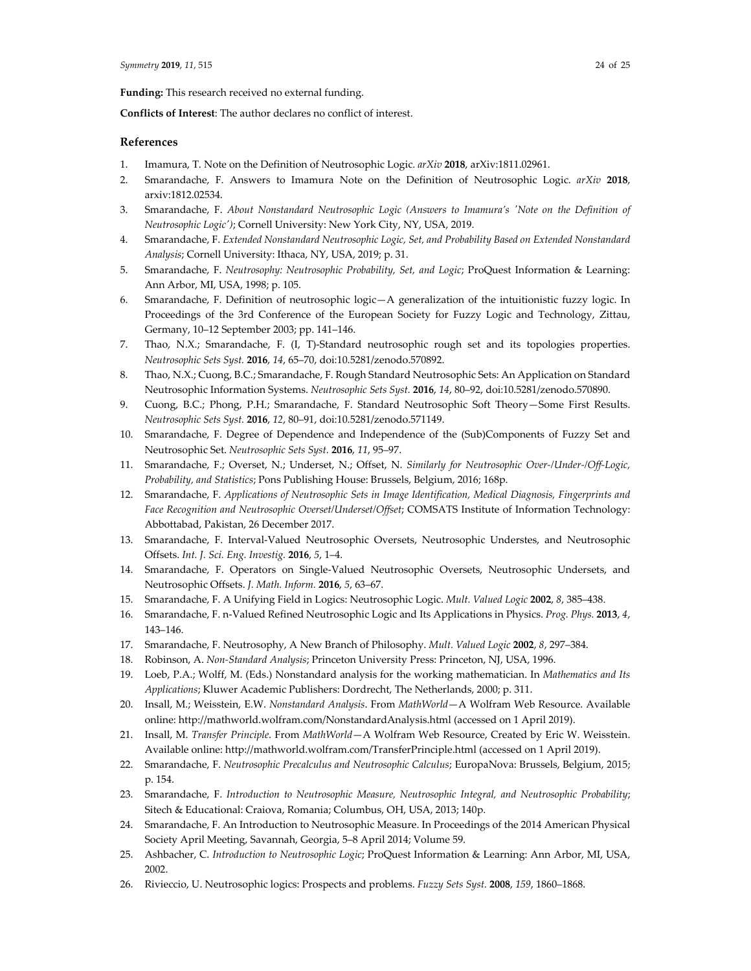**Funding:** This research received no external funding.

**Conflicts of Interest**: The author declares no conflict of interest.

## **References**

- 1. Imamura, T. Note on the Definition of Neutrosophic Logic. *arXiv* **2018**, arXiv:1811.02961.
- 2. Smarandache, F. Answers to Imamura Note on the Definition of Neutrosophic Logic. *arXiv* **2018**, arxiv:1812.02534.
- 3. Smarandache, F. *About Nonstandard Neutrosophic Logic (Answers to Imamura's ʹNote on the Definition of Neutrosophic Logicʹ)*; Cornell University: New York City, NY, USA, 2019.
- 4. Smarandache, F. *Extended Nonstandard Neutrosophic Logic, Set, and Probability Based on Extended Nonstandard Analysis*; Cornell University: Ithaca, NY, USA, 2019; p. 31.
- 5. Smarandache, F. *Neutrosophy: Neutrosophic Probability, Set, and Logic*; ProQuest Information & Learning: Ann Arbor, MI, USA, 1998; p. 105.
- 6. Smarandache, F. Definition of neutrosophic logic—A generalization of the intuitionistic fuzzy logic. In Proceedings of the 3rd Conference of the European Society for Fuzzy Logic and Technology, Zittau, Germany, 10–12 September 2003; pp. 141–146.
- 7. Thao, N.X.; Smarandache, F. (I, T)-Standard neutrosophic rough set and its topologies properties. *Neutrosophic Sets Syst.* **2016**, *14*, 65–70, doi:10.5281/zenodo.570892.
- 8. Thao, N.X.; Cuong, B.C.; Smarandache, F. Rough Standard Neutrosophic Sets: An Application on Standard Neutrosophic Information Systems. *Neutrosophic Sets Syst.* **2016**, *14*, 80–92, doi:10.5281/zenodo.570890.
- 9. Cuong, B.C.; Phong, P.H.; Smarandache, F. Standard Neutrosophic Soft Theory—Some First Results. *Neutrosophic Sets Syst.* **2016**, *12*, 80–91, doi:10.5281/zenodo.571149.
- 10. Smarandache, F. Degree of Dependence and Independence of the (Sub)Components of Fuzzy Set and Neutrosophic Set. *Neutrosophic Sets Syst.* **2016**, *11*, 95–97.
- 11. Smarandache, F.; Overset, N.; Underset, N.; Offset, N. *Similarly for Neutrosophic Over‐/Under‐/Off‐Logic, Probability, and Statistics*; Pons Publishing House: Brussels, Belgium, 2016; 168p.
- 12. Smarandache, F. *Applications of Neutrosophic Sets in Image Identification, Medical Diagnosis, Fingerprints and Face Recognition and Neutrosophic Overset/Underset/Offset*; COMSATS Institute of Information Technology: Abbottabad, Pakistan, 26 December 2017.
- 13. Smarandache, F. Interval‐Valued Neutrosophic Oversets, Neutrosophic Understes, and Neutrosophic Offsets. *Int. J. Sci. Eng. Investig.* **2016**, *5*, 1–4.
- 14. Smarandache, F. Operators on Single‐Valued Neutrosophic Oversets, Neutrosophic Undersets, and Neutrosophic Offsets. *J. Math. Inform.* **2016**, *5*, 63–67.
- 15. Smarandache, F. A Unifying Field in Logics: Neutrosophic Logic. *Mult. Valued Logic* **2002**, *8*, 385–438.
- 16. Smarandache, F. n‐Valued Refined Neutrosophic Logic and Its Applications in Physics. *Prog. Phys.* **2013**, *4*, 143–146.
- 17. Smarandache, F. Neutrosophy, A New Branch of Philosophy. *Mult. Valued Logic* **2002**, *8*, 297–384.
- 18. Robinson, A. *Non‐Standard Analysis*; Princeton University Press: Princeton, NJ, USA, 1996.
- 19. Loeb, P.A.; Wolff, M. (Eds.) Nonstandard analysis for the working mathematician. In *Mathematics and Its Applications*; Kluwer Academic Publishers: Dordrecht, The Netherlands, 2000; p. 311.
- 20. Insall, M.; Weisstein, E.W. *Nonstandard Analysis*. From *MathWorld*—A Wolfram Web Resource. Available online: http://mathworld.wolfram.com/NonstandardAnalysis.html (accessed on 1 April 2019).
- 21. Insall, M. *Transfer Principle*. From *MathWorld*—A Wolfram Web Resource, Created by Eric W. Weisstein. Available online: http://mathworld.wolfram.com/TransferPrinciple.html (accessed on 1 April 2019).
- 22. Smarandache, F. *Neutrosophic Precalculus and Neutrosophic Calculus*; EuropaNova: Brussels, Belgium, 2015; p. 154.
- 23. Smarandache, F. *Introduction to Neutrosophic Measure, Neutrosophic Integral, and Neutrosophic Probability*; Sitech & Educational: Craiova, Romania; Columbus, OH, USA, 2013; 140p.
- 24. Smarandache, F. An Introduction to Neutrosophic Measure. In Proceedings of the 2014 American Physical Society April Meeting, Savannah, Georgia, 5–8 April 2014; Volume 59.
- 25. Ashbacher, C. *Introduction to Neutrosophic Logic*; ProQuest Information & Learning: Ann Arbor, MI, USA, 2002.
- 26. Rivieccio, U. Neutrosophic logics: Prospects and problems. *Fuzzy Sets Syst.* **2008**, *159*, 1860–1868.